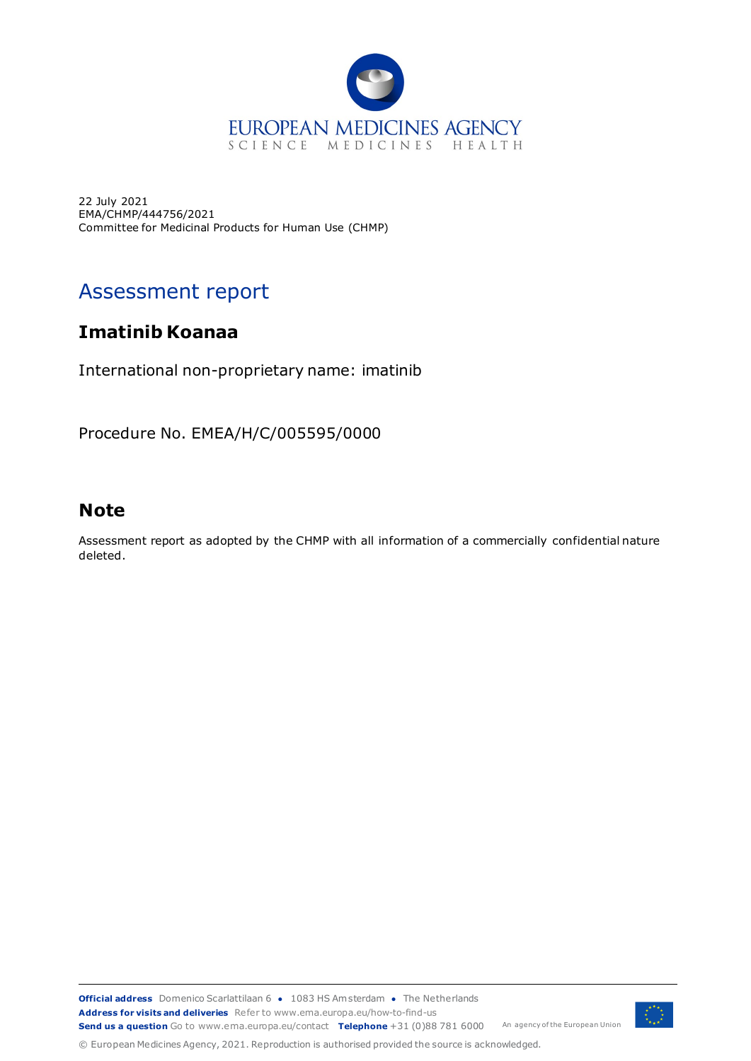

22 July 2021 EMA/CHMP/444756/2021 Committee for Medicinal Products for Human Use (CHMP)

# Assessment report

# **Imatinib Koanaa**

International non-proprietary name: imatinib

Procedure No. EMEA/H/C/005595/0000

# **Note**

Assessment report as adopted by the CHMP with all information of a commercially confidential nature deleted.

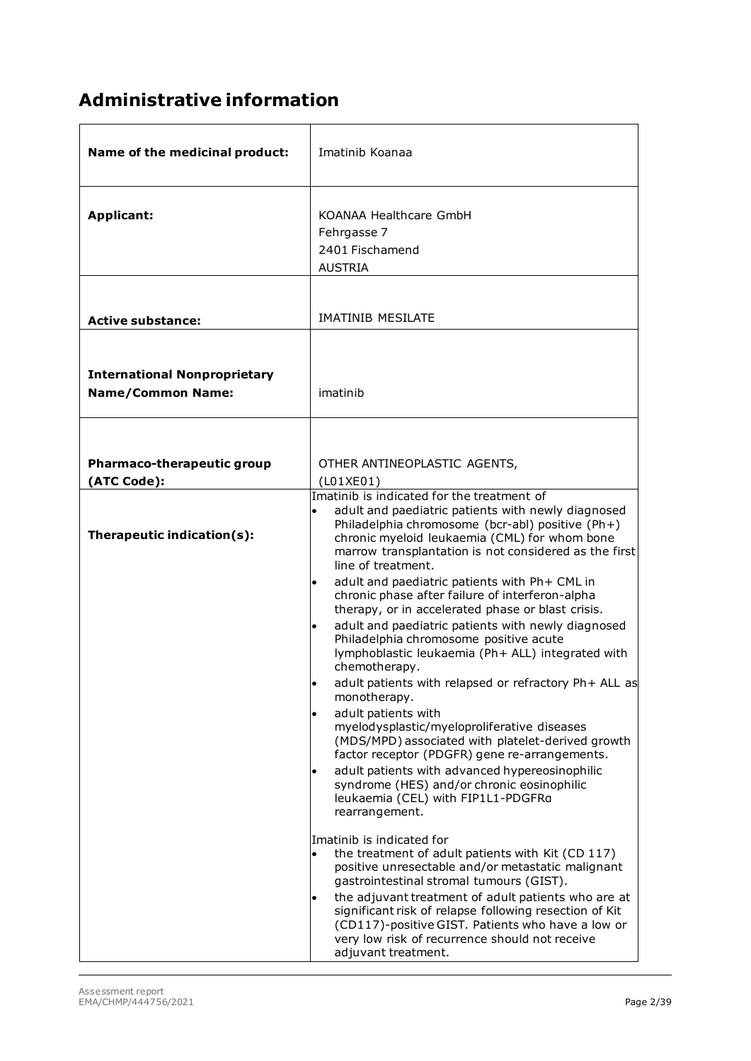# **Administrative information**

| Name of the medicinal product:                                  | Imatinib Koanaa                                                                                                                                                                                                                                                                                                                                                                                                                                                                                                                                                                                                                                                                                                                                                                                                                                                                                                                                                                                 |
|-----------------------------------------------------------------|-------------------------------------------------------------------------------------------------------------------------------------------------------------------------------------------------------------------------------------------------------------------------------------------------------------------------------------------------------------------------------------------------------------------------------------------------------------------------------------------------------------------------------------------------------------------------------------------------------------------------------------------------------------------------------------------------------------------------------------------------------------------------------------------------------------------------------------------------------------------------------------------------------------------------------------------------------------------------------------------------|
| <b>Applicant:</b>                                               | KOANAA Healthcare GmbH<br>Fehrgasse 7<br>2401 Fischamend<br><b>AUSTRIA</b>                                                                                                                                                                                                                                                                                                                                                                                                                                                                                                                                                                                                                                                                                                                                                                                                                                                                                                                      |
| <b>Active substance:</b>                                        | <b>IMATINIB MESILATE</b>                                                                                                                                                                                                                                                                                                                                                                                                                                                                                                                                                                                                                                                                                                                                                                                                                                                                                                                                                                        |
| <b>International Nonproprietary</b><br><b>Name/Common Name:</b> | imatinib                                                                                                                                                                                                                                                                                                                                                                                                                                                                                                                                                                                                                                                                                                                                                                                                                                                                                                                                                                                        |
| Pharmaco-therapeutic group                                      | OTHER ANTINEOPLASTIC AGENTS,                                                                                                                                                                                                                                                                                                                                                                                                                                                                                                                                                                                                                                                                                                                                                                                                                                                                                                                                                                    |
| (ATC Code):                                                     | (L01XE01)<br>Imatinib is indicated for the treatment of                                                                                                                                                                                                                                                                                                                                                                                                                                                                                                                                                                                                                                                                                                                                                                                                                                                                                                                                         |
| Therapeutic indication(s):                                      | adult and paediatric patients with newly diagnosed<br>Philadelphia chromosome (bcr-abl) positive (Ph+)<br>chronic myeloid leukaemia (CML) for whom bone<br>marrow transplantation is not considered as the first<br>line of treatment.<br>adult and paediatric patients with Ph+ CML in<br>chronic phase after failure of interferon-alpha<br>therapy, or in accelerated phase or blast crisis.<br>adult and paediatric patients with newly diagnosed<br>Philadelphia chromosome positive acute<br>lymphoblastic leukaemia (Ph+ ALL) integrated with<br>chemotherapy.<br>adult patients with relapsed or refractory Ph+ ALL as<br>monotherapy.<br>adult patients with<br>myelodysplastic/myeloproliferative diseases<br>(MDS/MPD) associated with platelet-derived growth<br>factor receptor (PDGFR) gene re-arrangements.<br>adult patients with advanced hypereosinophilic<br>$\bullet$<br>syndrome (HES) and/or chronic eosinophilic<br>leukaemia (CEL) with FIP1L1-PDGFRa<br>rearrangement. |
|                                                                 | Imatinib is indicated for<br>the treatment of adult patients with Kit (CD 117)<br>$\bullet$<br>positive unresectable and/or metastatic malignant<br>gastrointestinal stromal tumours (GIST).<br>the adjuvant treatment of adult patients who are at<br>significant risk of relapse following resection of Kit<br>(CD117)-positive GIST. Patients who have a low or<br>very low risk of recurrence should not receive<br>adjuvant treatment.                                                                                                                                                                                                                                                                                                                                                                                                                                                                                                                                                     |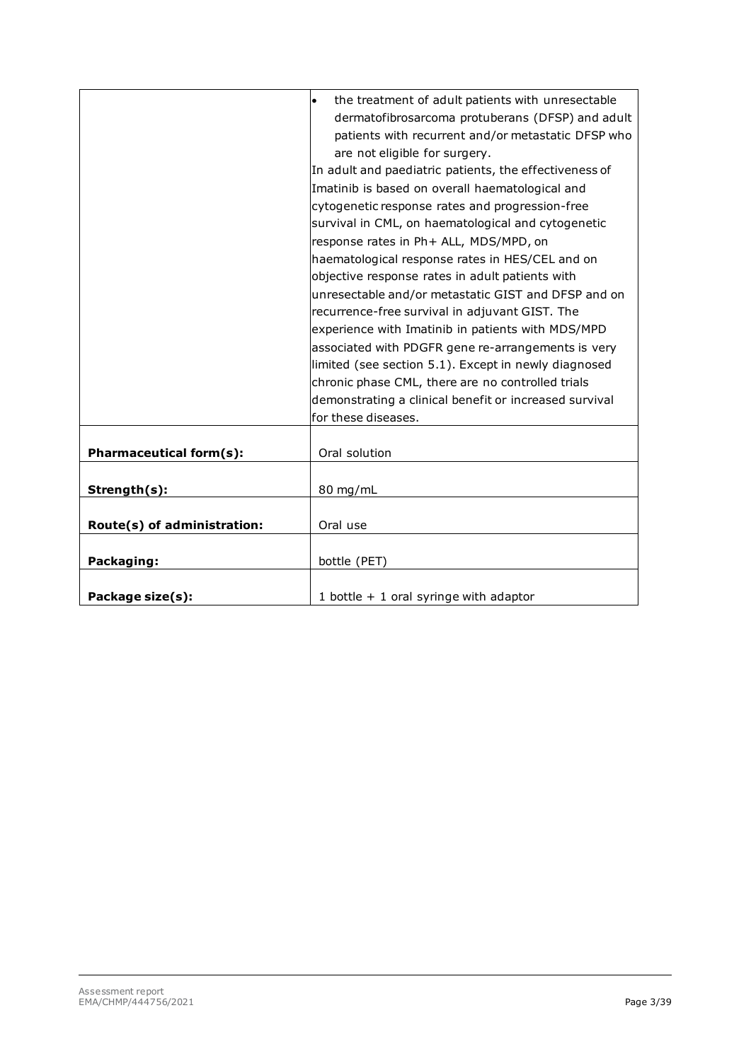|                                | the treatment of adult patients with unresectable<br>$\bullet$ |
|--------------------------------|----------------------------------------------------------------|
|                                | dermatofibrosarcoma protuberans (DFSP) and adult               |
|                                | patients with recurrent and/or metastatic DFSP who             |
|                                | are not eligible for surgery.                                  |
|                                | In adult and paediatric patients, the effectiveness of         |
|                                | Imatinib is based on overall haematological and                |
|                                | cytogenetic response rates and progression-free                |
|                                | survival in CML, on haematological and cytogenetic             |
|                                | response rates in Ph+ ALL, MDS/MPD, on                         |
|                                | haematological response rates in HES/CEL and on                |
|                                | objective response rates in adult patients with                |
|                                | unresectable and/or metastatic GIST and DFSP and on            |
|                                | recurrence-free survival in adjuvant GIST. The                 |
|                                | experience with Imatinib in patients with MDS/MPD              |
|                                | associated with PDGFR gene re-arrangements is very             |
|                                | limited (see section 5.1). Except in newly diagnosed           |
|                                | chronic phase CML, there are no controlled trials              |
|                                | demonstrating a clinical benefit or increased survival         |
|                                | for these diseases.                                            |
|                                |                                                                |
| <b>Pharmaceutical form(s):</b> | Oral solution                                                  |
|                                |                                                                |
| Strength(s):                   | 80 mg/mL                                                       |
|                                |                                                                |
| Route(s) of administration:    | Oral use                                                       |
|                                |                                                                |
| Packaging:                     | bottle (PET)                                                   |
|                                |                                                                |
| Package size(s):               | 1 bottle $+$ 1 oral syringe with adaptor                       |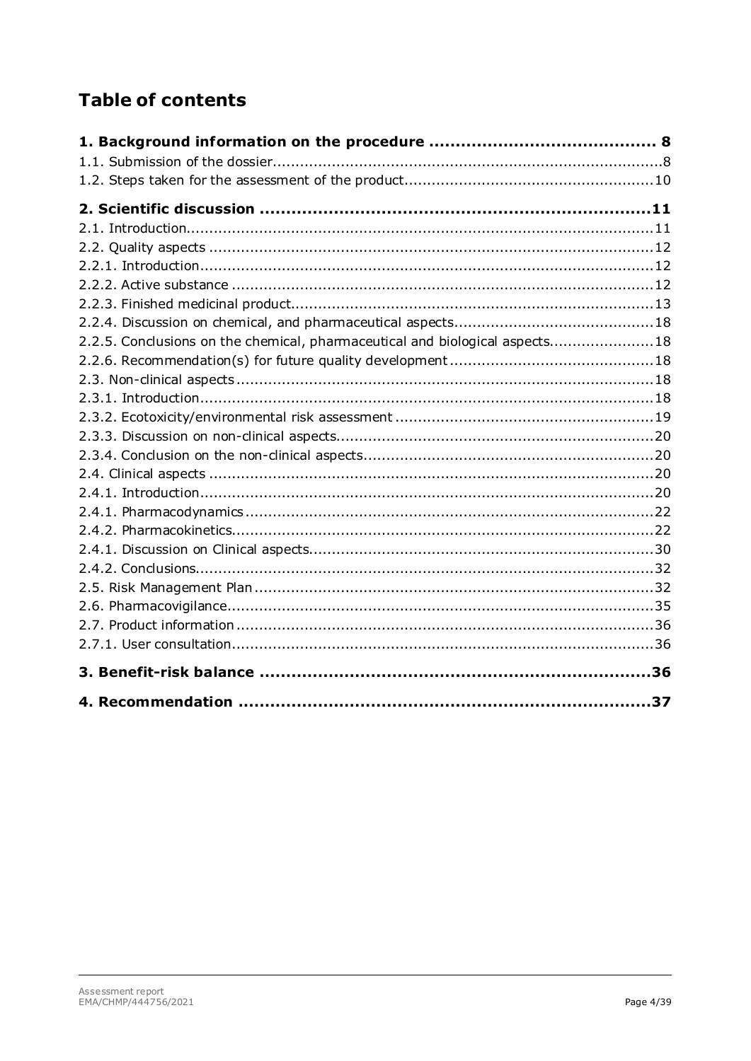# **Table of contents**

| 2.2.5. Conclusions on the chemical, pharmaceutical and biological aspects18 |  |
|-----------------------------------------------------------------------------|--|
|                                                                             |  |
|                                                                             |  |
|                                                                             |  |
|                                                                             |  |
|                                                                             |  |
|                                                                             |  |
|                                                                             |  |
|                                                                             |  |
|                                                                             |  |
|                                                                             |  |
|                                                                             |  |
|                                                                             |  |
|                                                                             |  |
|                                                                             |  |
|                                                                             |  |
|                                                                             |  |
|                                                                             |  |
|                                                                             |  |
|                                                                             |  |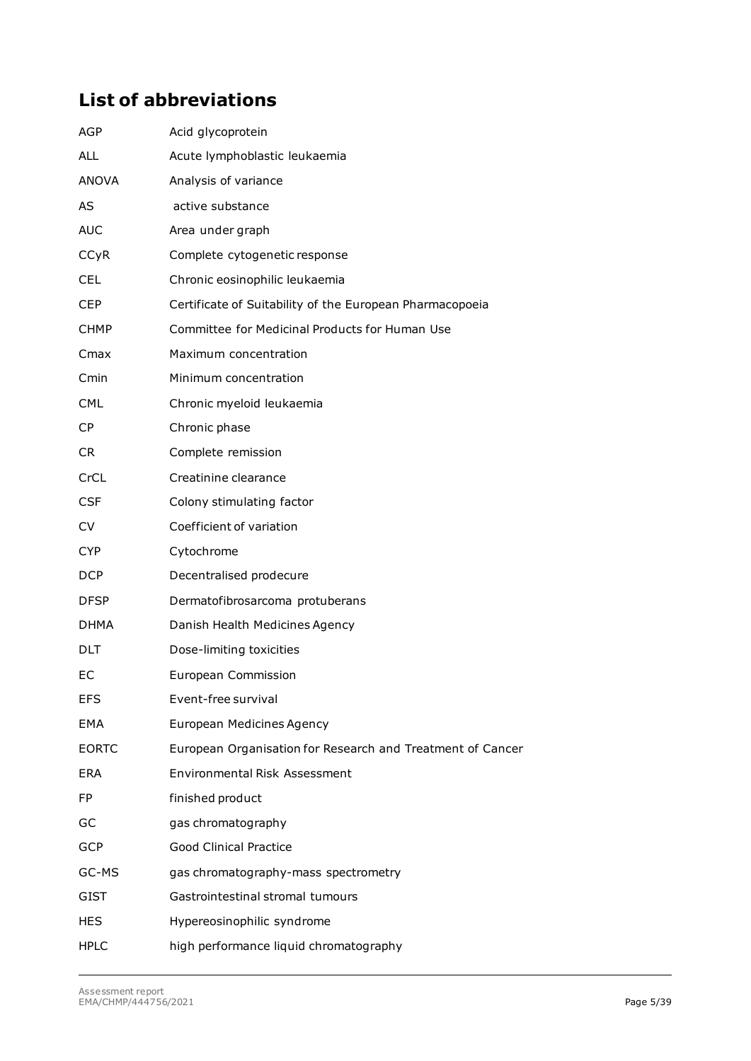# **List of abbreviations**

| AGP          | Acid glycoprotein                                          |
|--------------|------------------------------------------------------------|
| <b>ALL</b>   | Acute lymphoblastic leukaemia                              |
| <b>ANOVA</b> | Analysis of variance                                       |
| <b>AS</b>    | active substance                                           |
| <b>AUC</b>   | Area under graph                                           |
| <b>CCyR</b>  | Complete cytogenetic response                              |
| <b>CEL</b>   | Chronic eosinophilic leukaemia                             |
| <b>CEP</b>   | Certificate of Suitability of the European Pharmacopoeia   |
| CHMP.        | Committee for Medicinal Products for Human Use             |
| Cmax         | Maximum concentration                                      |
| Cmin         | Minimum concentration                                      |
| <b>CML</b>   | Chronic myeloid leukaemia                                  |
| CP           | Chronic phase                                              |
| CR.          | Complete remission                                         |
| CrCL         | Creatinine clearance                                       |
| <b>CSF</b>   | Colony stimulating factor                                  |
| CV.          | Coefficient of variation                                   |
| <b>CYP</b>   | Cytochrome                                                 |
| <b>DCP</b>   | Decentralised prodecure                                    |
| <b>DFSP</b>  | Dermatofibrosarcoma protuberans                            |
| DHMA         | Danish Health Medicines Agency                             |
| DLT          | Dose-limiting toxicities                                   |
| EC           | European Commission                                        |
| EFS          | Event-free survival                                        |
| EMA          | European Medicines Agency                                  |
| <b>EORTC</b> | European Organisation for Research and Treatment of Cancer |
| <b>ERA</b>   | <b>Environmental Risk Assessment</b>                       |
| <b>FP</b>    | finished product                                           |
| GC           | gas chromatography                                         |
| <b>GCP</b>   | <b>Good Clinical Practice</b>                              |
| GC-MS        | gas chromatography-mass spectrometry                       |
| GIST         | Gastrointestinal stromal tumours                           |
| <b>HES</b>   | Hypereosinophilic syndrome                                 |
| <b>HPLC</b>  | high performance liquid chromatography                     |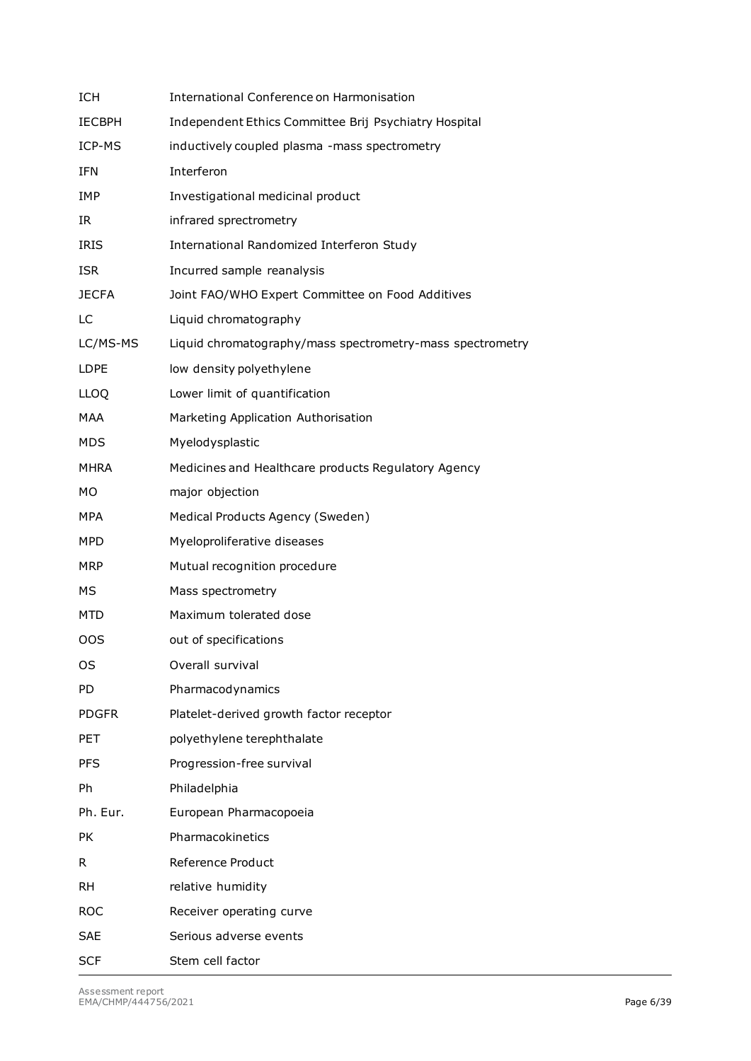| <b>ICH</b>    | International Conference on Harmonisation                 |
|---------------|-----------------------------------------------------------|
| <b>IECBPH</b> | Independent Ethics Committee Brij Psychiatry Hospital     |
| ICP-MS        | inductively coupled plasma -mass spectrometry             |
| <b>IFN</b>    | Interferon                                                |
| IMP           | Investigational medicinal product                         |
| IR.           | infrared sprectrometry                                    |
| <b>IRIS</b>   | International Randomized Interferon Study                 |
| <b>ISR</b>    | Incurred sample reanalysis                                |
| <b>JECFA</b>  | Joint FAO/WHO Expert Committee on Food Additives          |
| LC            | Liquid chromatography                                     |
| LC/MS-MS      | Liquid chromatography/mass spectrometry-mass spectrometry |
| <b>LDPE</b>   | low density polyethylene                                  |
| <b>LLOQ</b>   | Lower limit of quantification                             |
| <b>MAA</b>    | Marketing Application Authorisation                       |
| <b>MDS</b>    | Myelodysplastic                                           |
| MHRA          | Medicines and Healthcare products Regulatory Agency       |
| <b>MO</b>     | major objection                                           |
| MPA           | Medical Products Agency (Sweden)                          |
| <b>MPD</b>    | Myeloproliferative diseases                               |
| <b>MRP</b>    | Mutual recognition procedure                              |
| МS            | Mass spectrometry                                         |
| MTD           | Maximum tolerated dose                                    |
| <b>OOS</b>    | out of specifications                                     |
| OS            | Overall survival                                          |
| <b>PD</b>     | Pharmacodynamics                                          |
| <b>PDGFR</b>  | Platelet-derived growth factor receptor                   |
| <b>PET</b>    | polyethylene terephthalate                                |
| <b>PFS</b>    | Progression-free survival                                 |
| Ph            | Philadelphia                                              |
| Ph. Eur.      | European Pharmacopoeia                                    |
| <b>PK</b>     | Pharmacokinetics                                          |
| R.            | Reference Product                                         |
| <b>RH</b>     | relative humidity                                         |
| <b>ROC</b>    | Receiver operating curve                                  |
| <b>SAE</b>    | Serious adverse events                                    |
| <b>SCF</b>    | Stem cell factor                                          |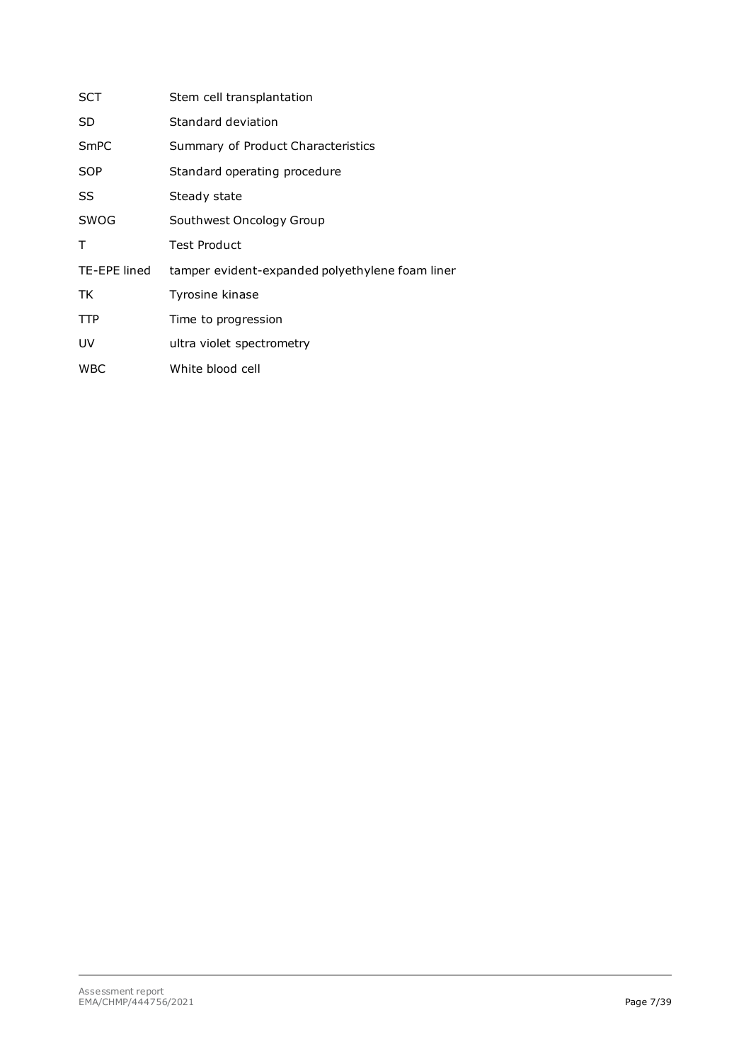| SCT          | Stem cell transplantation                       |
|--------------|-------------------------------------------------|
| SD           | Standard deviation                              |
| SmPC         | Summary of Product Characteristics              |
| SOP          | Standard operating procedure                    |
| SS           | Steady state                                    |
| SWOG         | Southwest Oncology Group                        |
| т            | <b>Test Product</b>                             |
| TE-EPE lined | tamper evident-expanded polyethylene foam liner |
| TK           | Tyrosine kinase                                 |
| <b>TTP</b>   | Time to progression                             |
| UV           | ultra violet spectrometry                       |
| <b>WBC</b>   | White blood cell                                |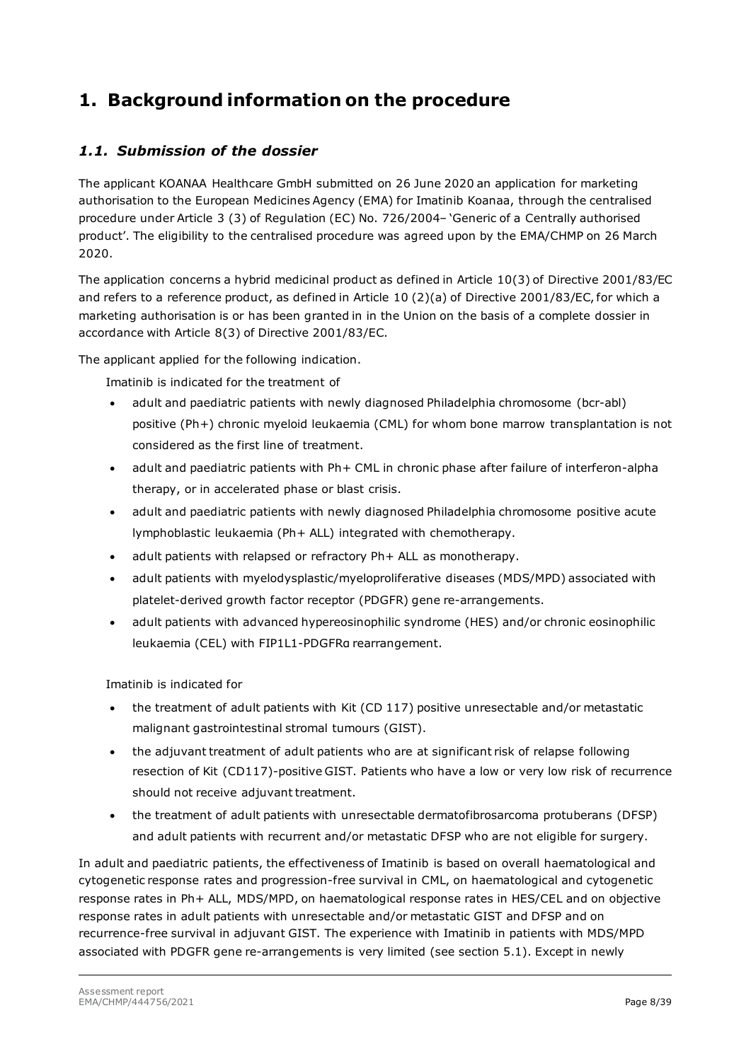# <span id="page-7-0"></span>**1. Background information on the procedure**

## <span id="page-7-1"></span>*1.1. Submission of the dossier*

The applicant KOANAA Healthcare GmbH submitted on 26 June 2020 an application for marketing authorisation to the European Medicines Agency (EMA) for Imatinib Koanaa, through the centralised procedure under Article 3 (3) of Regulation (EC) No. 726/2004– 'Generic of a Centrally authorised product'. The eligibility to the centralised procedure was agreed upon by the EMA/CHMP on 26 March 2020.

The application concerns a hybrid medicinal product as defined in Article 10(3) of Directive 2001/83/EC and refers to a reference product, as defined in Article 10 (2)(a) of Directive 2001/83/EC, for which a marketing authorisation is or has been granted in in the Union on the basis of a complete dossier in accordance with Article 8(3) of Directive 2001/83/EC.

The applicant applied for the following indication.

Imatinib is indicated for the treatment of

- adult and paediatric patients with newly diagnosed Philadelphia chromosome (bcr-abl) positive (Ph+) chronic myeloid leukaemia (CML) for whom bone marrow transplantation is not considered as the first line of treatment.
- adult and paediatric patients with Ph+ CML in chronic phase after failure of interferon-alpha therapy, or in accelerated phase or blast crisis.
- adult and paediatric patients with newly diagnosed Philadelphia chromosome positive acute lymphoblastic leukaemia (Ph+ ALL) integrated with chemotherapy.
- adult patients with relapsed or refractory Ph+ ALL as monotherapy.
- adult patients with myelodysplastic/myeloproliferative diseases (MDS/MPD) associated with platelet-derived growth factor receptor (PDGFR) gene re-arrangements.
- adult patients with advanced hypereosinophilic syndrome (HES) and/or chronic eosinophilic leukaemia (CEL) with FIP1L1-PDGFRα rearrangement.

Imatinib is indicated for

- the treatment of adult patients with Kit (CD 117) positive unresectable and/or metastatic malignant gastrointestinal stromal tumours (GIST).
- the adjuvant treatment of adult patients who are at significant risk of relapse following resection of Kit (CD117)-positive GIST. Patients who have a low or very low risk of recurrence should not receive adjuvant treatment.
- the treatment of adult patients with unresectable dermatofibrosarcoma protuberans (DFSP) and adult patients with recurrent and/or metastatic DFSP who are not eligible for surgery.

In adult and paediatric patients, the effectiveness of Imatinib is based on overall haematological and cytogenetic response rates and progression-free survival in CML, on haematological and cytogenetic response rates in Ph+ ALL, MDS/MPD, on haematological response rates in HES/CEL and on objective response rates in adult patients with unresectable and/or metastatic GIST and DFSP and on recurrence-free survival in adjuvant GIST. The experience with Imatinib in patients with MDS/MPD associated with PDGFR gene re-arrangements is very limited (see section 5.1). Except in newly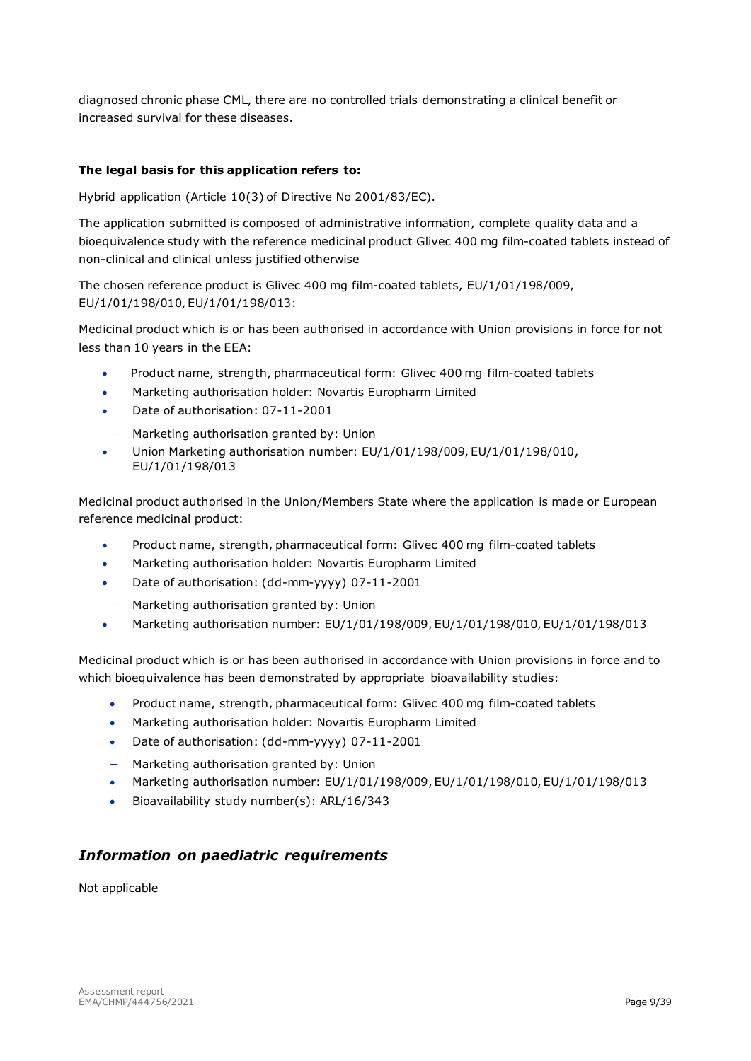diagnosed chronic phase CML, there are no controlled trials demonstrating a clinical benefit or increased survival for these diseases.

#### **The legal basis for this application refers to:**

Hybrid application (Article 10(3) of Directive No 2001/83/EC).

The application submitted is composed of administrative information, complete quality data and a bioequivalence study with the reference medicinal product Glivec 400 mg film-coated tablets instead of non-clinical and clinical unless justified otherwise

The chosen reference product is Glivec 400 mg film-coated tablets, EU/1/01/198/009, EU/1/01/198/010, EU/1/01/198/013:

Medicinal product which is or has been authorised in accordance with Union provisions in force for not less than 10 years in the EEA:

- Product name, strength, pharmaceutical form: Glivec 400 mg film-coated tablets
- Marketing authorisation holder: Novartis Europharm Limited
- Date of authorisation: 07-11-2001
- − Marketing authorisation granted by: Union
- Union Marketing authorisation number: EU/1/01/198/009, EU/1/01/198/010, EU/1/01/198/013

Medicinal product authorised in the Union/Members State where the application is made or European reference medicinal product:

- Product name, strength, pharmaceutical form: Glivec 400 mg film-coated tablets
- Marketing authorisation holder: Novartis Europharm Limited
- Date of authorisation: (dd-mm-yyyy) 07-11-2001
- Harketing authorisation granted by: Union
- Marketing authorisation number:  $EU/1/01/198/009$ ,  $EU/1/01/198/010$ ,  $EU/1/01/198/013$

Medicinal product which is or has been authorised in accordance with Union provisions in force and to which bioequivalence has been demonstrated by appropriate bioavailability studies:

- Product name, strength, pharmaceutical form: Glivec 400 mg film-coated tablets
- Marketing authorisation holder: Novartis Europharm Limited
- Date of authorisation: (dd-mm-yyyy) 07-11-2001
- − Marketing authorisation granted by: Union
- Marketing authorisation number: EU/1/01/198/009, EU/1/01/198/010, EU/1/01/198/013
- Bioavailability study number(s): ARL/16/343

#### *Information on paediatric requirements*

Not applicable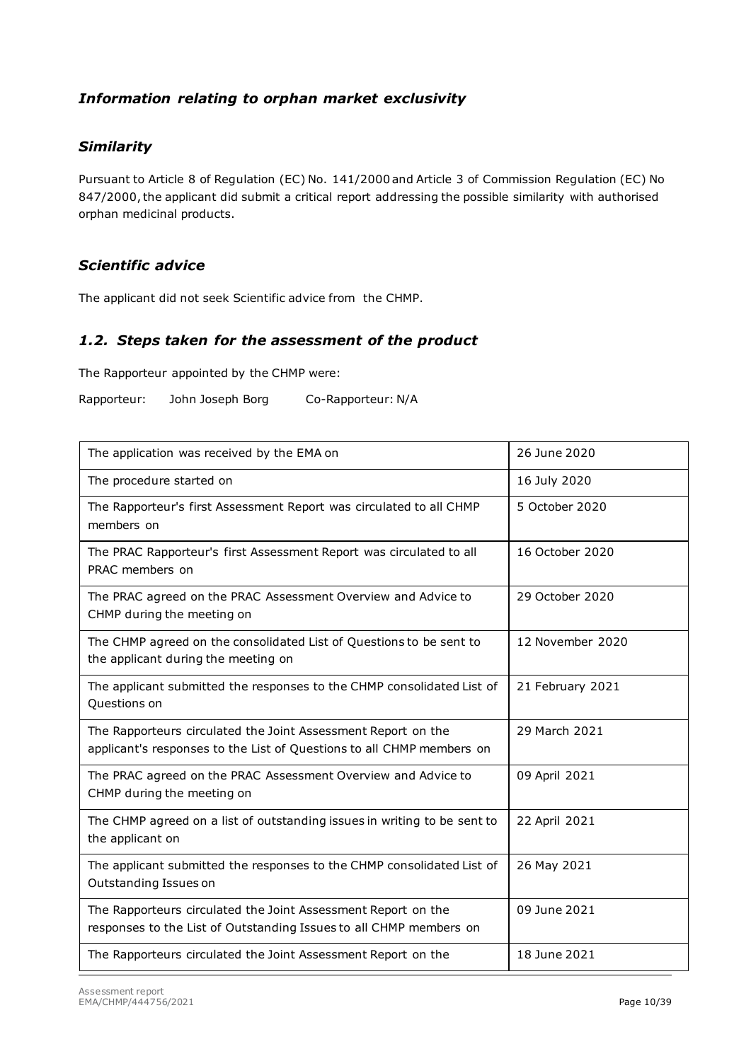## *Information relating to orphan market exclusivity*

#### *Similarity*

Pursuant to Article 8 of Regulation (EC) No. 141/2000 and Article 3 of Commission Regulation (EC) No 847/2000, the applicant did submit a critical report addressing the possible similarity with authorised orphan medicinal products.

### *Scientific advice*

The applicant did not seek Scientific advice from the CHMP.

#### <span id="page-9-0"></span>*1.2. Steps taken for the assessment of the product*

The Rapporteur appointed by the CHMP were:

Rapporteur: John Joseph Borg Co-Rapporteur: N/A

| The application was received by the EMA on                                                                                             | 26 June 2020     |
|----------------------------------------------------------------------------------------------------------------------------------------|------------------|
| The procedure started on                                                                                                               | 16 July 2020     |
| The Rapporteur's first Assessment Report was circulated to all CHMP<br>members on                                                      | 5 October 2020   |
| The PRAC Rapporteur's first Assessment Report was circulated to all<br>PRAC members on                                                 | 16 October 2020  |
| The PRAC agreed on the PRAC Assessment Overview and Advice to<br>CHMP during the meeting on                                            | 29 October 2020  |
| The CHMP agreed on the consolidated List of Questions to be sent to<br>the applicant during the meeting on                             | 12 November 2020 |
| The applicant submitted the responses to the CHMP consolidated List of<br>Questions on                                                 | 21 February 2021 |
| The Rapporteurs circulated the Joint Assessment Report on the<br>applicant's responses to the List of Questions to all CHMP members on | 29 March 2021    |
| The PRAC agreed on the PRAC Assessment Overview and Advice to<br>CHMP during the meeting on                                            | 09 April 2021    |
| The CHMP agreed on a list of outstanding issues in writing to be sent to<br>the applicant on                                           | 22 April 2021    |
| The applicant submitted the responses to the CHMP consolidated List of<br>Outstanding Issues on                                        | 26 May 2021      |
| The Rapporteurs circulated the Joint Assessment Report on the<br>responses to the List of Outstanding Issues to all CHMP members on    | 09 June 2021     |
| The Rapporteurs circulated the Joint Assessment Report on the                                                                          | 18 June 2021     |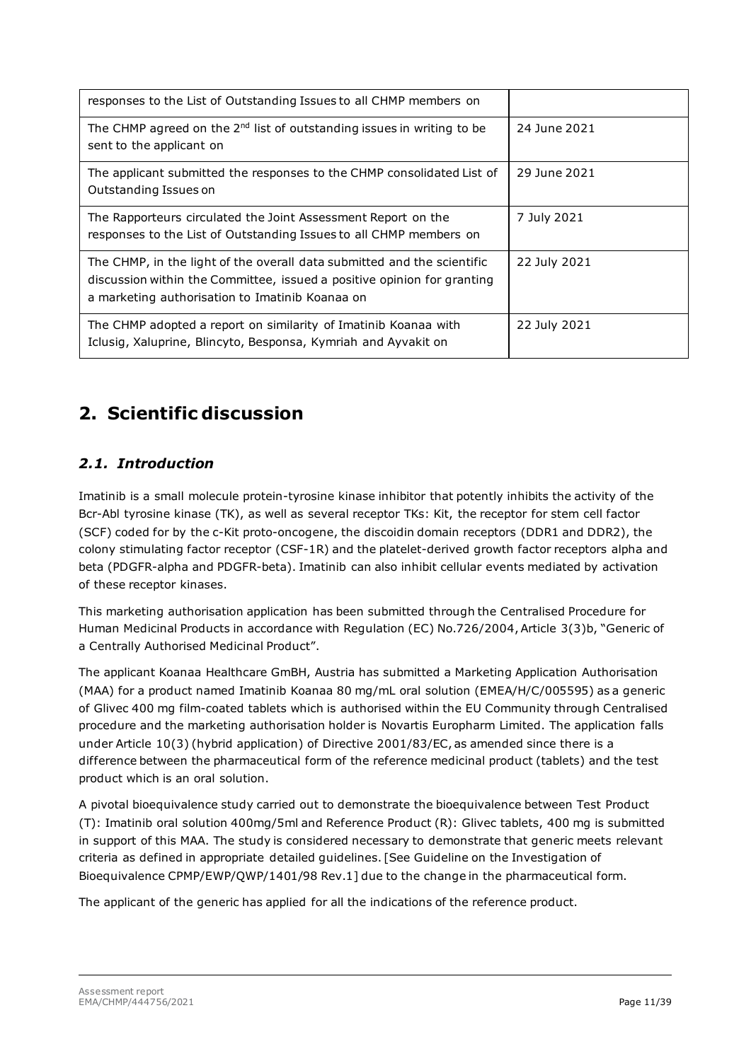| responses to the List of Outstanding Issues to all CHMP members on                                                                                                                                    |              |
|-------------------------------------------------------------------------------------------------------------------------------------------------------------------------------------------------------|--------------|
| The CHMP agreed on the $2nd$ list of outstanding issues in writing to be<br>sent to the applicant on                                                                                                  | 24 June 2021 |
| The applicant submitted the responses to the CHMP consolidated List of<br>Outstanding Issues on                                                                                                       | 29 June 2021 |
| The Rapporteurs circulated the Joint Assessment Report on the<br>responses to the List of Outstanding Issues to all CHMP members on                                                                   | 7 July 2021  |
| The CHMP, in the light of the overall data submitted and the scientific<br>discussion within the Committee, issued a positive opinion for granting<br>a marketing authorisation to Imatinib Koanaa on | 22 July 2021 |
| The CHMP adopted a report on similarity of Imatinib Koanaa with<br>Iclusig, Xaluprine, Blincyto, Besponsa, Kymriah and Ayvakit on                                                                     | 22 July 2021 |

# <span id="page-10-0"></span>**2. Scientific discussion**

# <span id="page-10-1"></span>*2.1. Introduction*

Imatinib is a small molecule protein-tyrosine kinase inhibitor that potently inhibits the activity of the Bcr-Abl tyrosine kinase (TK), as well as several receptor TKs: Kit, the receptor for stem cell factor (SCF) coded for by the c-Kit proto-oncogene, the discoidin domain receptors (DDR1 and DDR2), the colony stimulating factor receptor (CSF-1R) and the platelet-derived growth factor receptors alpha and beta (PDGFR-alpha and PDGFR-beta). Imatinib can also inhibit cellular events mediated by activation of these receptor kinases.

This marketing authorisation application has been submitted through the Centralised Procedure for Human Medicinal Products in accordance with Regulation (EC) No.726/2004, Article 3(3)b, "Generic of a Centrally Authorised Medicinal Product".

The applicant Koanaa Healthcare GmBH, Austria has submitted a Marketing Application Authorisation (MAA) for a product named Imatinib Koanaa 80 mg/mL oral solution (EMEA/H/C/005595) as a generic of Glivec 400 mg film-coated tablets which is authorised within the EU Community through Centralised procedure and the marketing authorisation holder is Novartis Europharm Limited. The application falls under Article 10(3) (hybrid application) of Directive 2001/83/EC, as amended since there is a difference between the pharmaceutical form of the reference medicinal product (tablets) and the test product which is an oral solution.

A pivotal bioequivalence study carried out to demonstrate the bioequivalence between Test Product (T): Imatinib oral solution 400mg/5ml and Reference Product (R): Glivec tablets, 400 mg is submitted in support of this MAA. The study is considered necessary to demonstrate that generic meets relevant criteria as defined in appropriate detailed guidelines. [See Guideline on the Investigation of Bioequivalence CPMP/EWP/QWP/1401/98 Rev.1] due to the change in the pharmaceutical form.

The applicant of the generic has applied for all the indications of the reference product.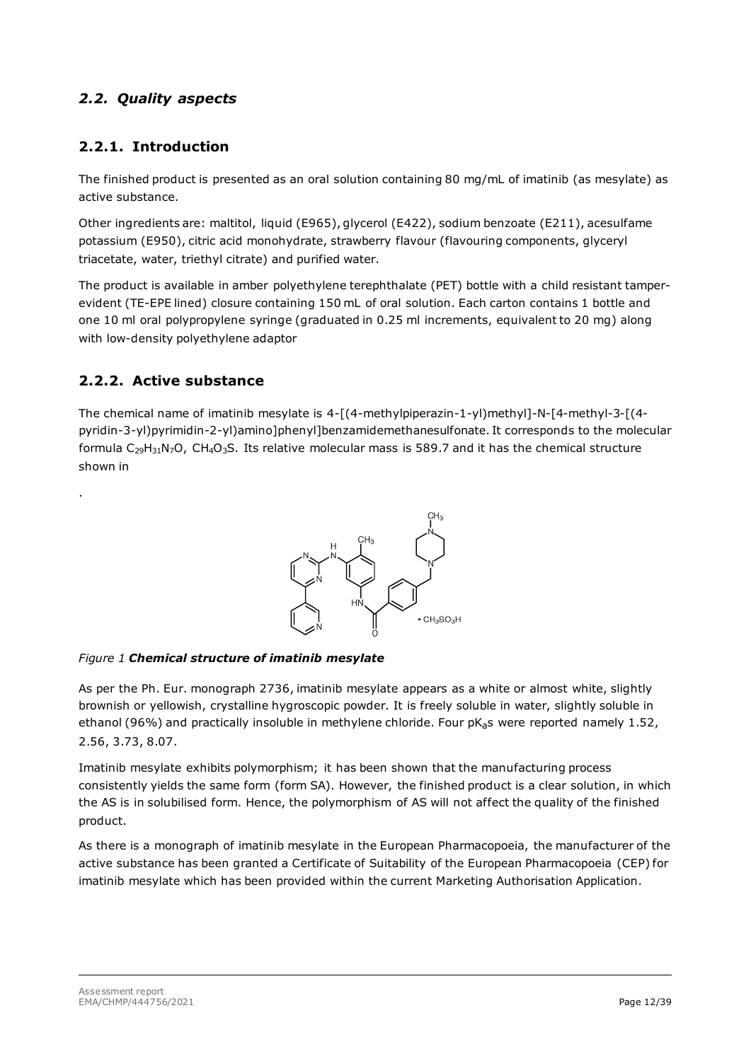# <span id="page-11-0"></span>*2.2. Quality aspects*

# <span id="page-11-1"></span>**2.2.1. Introduction**

The finished product is presented as an oral solution containing 80 mg/mL of imatinib (as mesylate) as active substance.

Other ingredients are: maltitol, liquid (E965), glycerol (E422), sodium benzoate (E211), acesulfame potassium (E950), citric acid monohydrate, strawberry flavour (flavouring components, glyceryl triacetate, water, triethyl citrate) and purified water.

The product is available in amber polyethylene terephthalate (PET) bottle with a child resistant tamperevident (TE-EPE lined) closure containing 150 mL of oral solution. Each carton contains 1 bottle and one 10 ml oral polypropylene syringe (graduated in 0.25 ml increments, equivalent to 20 mg) along with low-density polyethylene adaptor

# <span id="page-11-2"></span>**2.2.2. Active substance**

.

The chemical name of imatinib mesylate is 4-[(4-methylpiperazin-1-yl)methyl]-N-[4-methyl-3-[(4 pyridin-3-yl)pyrimidin-2-yl)amino]phenyl]benzamidemethanesulfonate. It corresponds to the molecular formula  $C_{29}H_{31}N_7O$ , CH<sub>4</sub>O<sub>3</sub>S. Its relative molecular mass is 589.7 and it has the chemical structure shown in

<span id="page-11-3"></span>

#### *Figure 1 Chemical structure of imatinib mesylate*

As per the Ph. Eur. monograph 2736, imatinib mesylate appears as a white or almost white, slightly brownish or yellowish, crystalline hygroscopic powder. It is freely soluble in water, slightly soluble in ethanol (96%) and practically insoluble in methylene chloride. Four pKas were reported namely 1.52, 2.56, 3.73, 8.07.

Imatinib mesylate exhibits polymorphism; it has been shown that the manufacturing process consistently yields the same form (form SA). However, the finished product is a clear solution, in which the AS is in solubilised form. Hence, the polymorphism of AS will not affect the quality of the finished product.

As there is a monograph of imatinib mesylate in the European Pharmacopoeia, the manufacturer of the active substance has been granted a Certificate of Suitability of the European Pharmacopoeia (CEP) for imatinib mesylate which has been provided within the current Marketing Authorisation Application.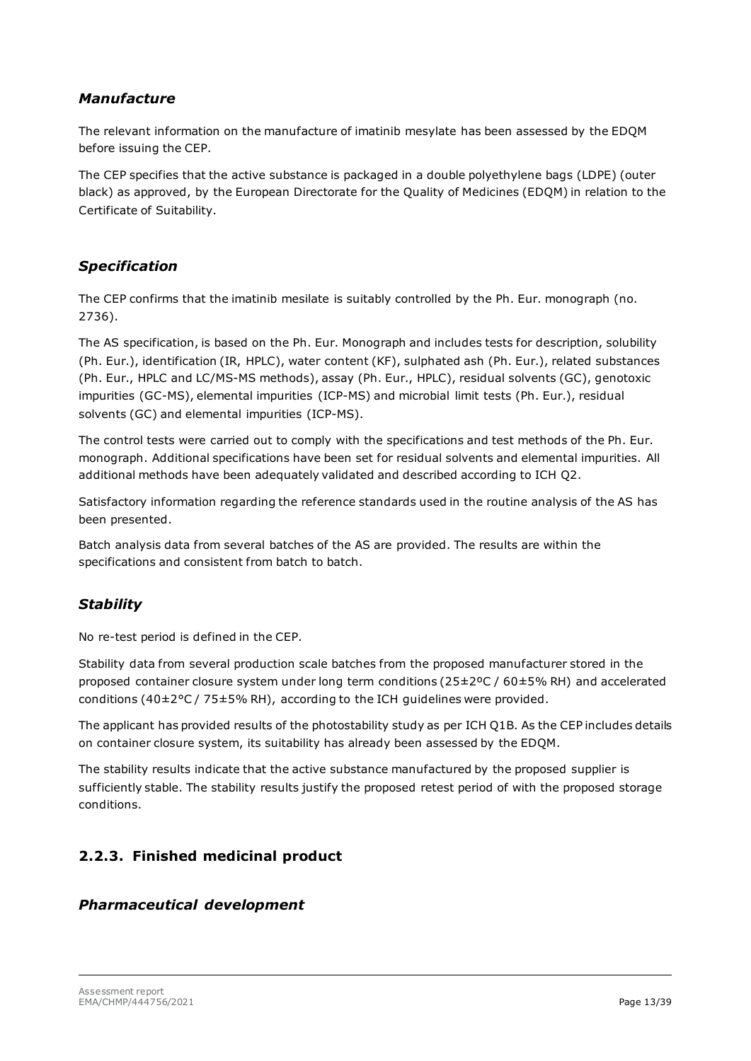### *Manufacture*

The relevant information on the manufacture of imatinib mesylate has been assessed by the EDQM before issuing the CEP.

The CEP specifies that the active substance is packaged in a double polyethylene bags (LDPE) (outer black) as approved, by the European Directorate for the Quality of Medicines (EDQM) in relation to the Certificate of Suitability.

## *Specification*

The CEP confirms that the imatinib mesilate is suitably controlled by the Ph. Eur. monograph (no. 2736).

The AS specification, is based on the Ph. Eur. Monograph and includes tests for description, solubility (Ph. Eur.), identification (IR, HPLC), water content (KF), sulphated ash (Ph. Eur.), related substances (Ph. Eur., HPLC and LC/MS-MS methods), assay (Ph. Eur., HPLC), residual solvents (GC), genotoxic impurities (GC-MS), elemental impurities (ICP-MS) and microbial limit tests (Ph. Eur.), residual solvents (GC) and elemental impurities (ICP-MS).

The control tests were carried out to comply with the specifications and test methods of the Ph. Eur. monograph. Additional specifications have been set for residual solvents and elemental impurities. All additional methods have been adequately validated and described according to ICH Q2.

Satisfactory information regarding the reference standards used in the routine analysis of the AS has been presented.

Batch analysis data from several batches of the AS are provided. The results are within the specifications and consistent from batch to batch.

# *Stability*

No re-test period is defined in the CEP.

Stability data from several production scale batches from the proposed manufacturer stored in the proposed container closure system under long term conditions (25±2ºC / 60±5% RH) and accelerated conditions (40±2°C / 75±5% RH), according to the ICH guidelines were provided.

The applicant has provided results of the photostability study as per ICH Q1B. As the CEP includes details on container closure system, its suitability has already been assessed by the EDQM.

The stability results indicate that the active substance manufactured by the proposed supplier is sufficiently stable. The stability results justify the proposed retest period of with the proposed storage conditions.

# <span id="page-12-0"></span>**2.2.3. Finished medicinal product**

## *Pharmaceutical development*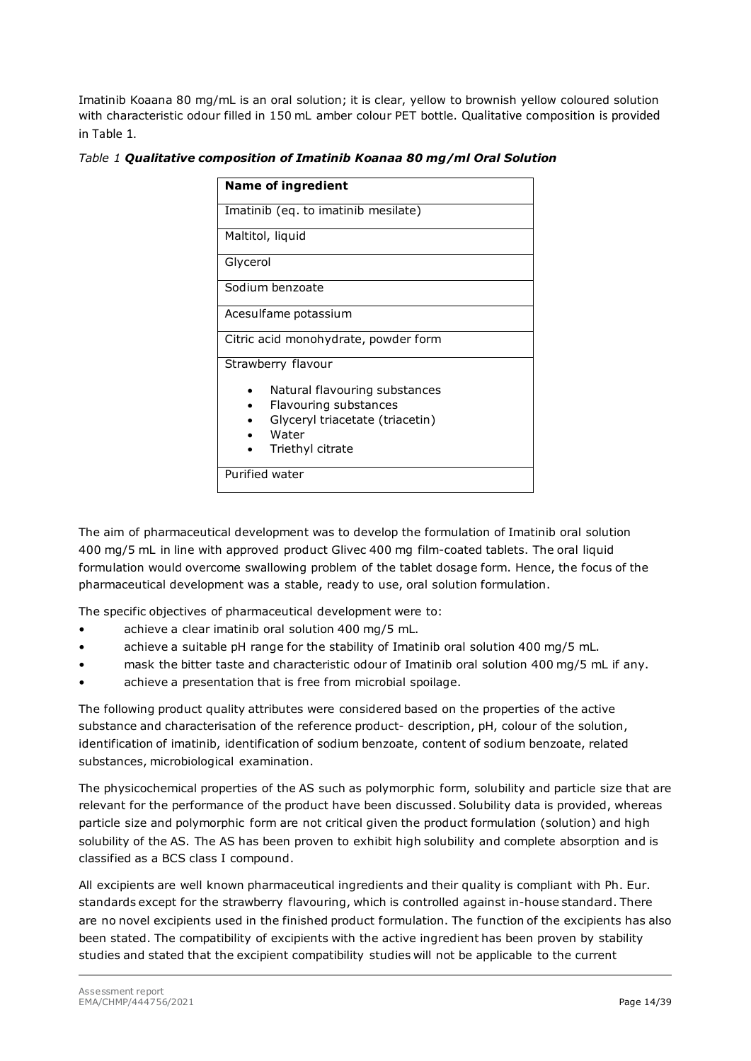Imatinib Koaana 80 mg/mL is an oral solution; it is clear, yellow to brownish yellow coloured solution with characteristic odour filled in 150 mL amber colour PET bottle. Qualitative composition is provided in Table 1.

|  |  |  |  |  |  | Table 1 Qualitative composition of Imatinib Koanaa 80 mg/ml Oral Solution |
|--|--|--|--|--|--|---------------------------------------------------------------------------|
|--|--|--|--|--|--|---------------------------------------------------------------------------|

| <b>Name of ingredient</b>                                                                                       |  |  |
|-----------------------------------------------------------------------------------------------------------------|--|--|
| Imatinib (eq. to imatinib mesilate)                                                                             |  |  |
| Maltitol, liquid                                                                                                |  |  |
| Glycerol                                                                                                        |  |  |
| Sodium benzoate                                                                                                 |  |  |
| Acesulfame potassium                                                                                            |  |  |
| Citric acid monohydrate, powder form                                                                            |  |  |
| Strawberry flavour<br>Natural flavouring substances<br>Flavouring substances<br>Glyceryl triacetate (triacetin) |  |  |
| Water<br>Triethyl citrate                                                                                       |  |  |
| Purified water                                                                                                  |  |  |

The aim of pharmaceutical development was to develop the formulation of Imatinib oral solution 400 mg/5 mL in line with approved product Glivec 400 mg film-coated tablets. The oral liquid formulation would overcome swallowing problem of the tablet dosage form. Hence, the focus of the pharmaceutical development was a stable, ready to use, oral solution formulation.

The specific objectives of pharmaceutical development were to:

- achieve a clear imatinib oral solution 400 mg/5 mL.
- achieve a suitable pH range for the stability of Imatinib oral solution 400 mg/5 mL.
- mask the bitter taste and characteristic odour of Imatinib oral solution 400 mg/5 mL if any.
- achieve a presentation that is free from microbial spoilage.

The following product quality attributes were considered based on the properties of the active substance and characterisation of the reference product- description, pH, colour of the solution, identification of imatinib, identification of sodium benzoate, content of sodium benzoate, related substances, microbiological examination.

The physicochemical properties of the AS such as polymorphic form, solubility and particle size that are relevant for the performance of the product have been discussed. Solubility data is provided, whereas particle size and polymorphic form are not critical given the product formulation (solution) and high solubility of the AS. The AS has been proven to exhibit high solubility and complete absorption and is classified as a BCS class I compound.

All excipients are well known pharmaceutical ingredients and their quality is compliant with Ph. Eur. standards except for the strawberry flavouring, which is controlled against in-house standard. There are no novel excipients used in the finished product formulation. The function of the excipients has also been stated. The compatibility of excipients with the active ingredient has been proven by stability studies and stated that the excipient compatibility studies will not be applicable to the current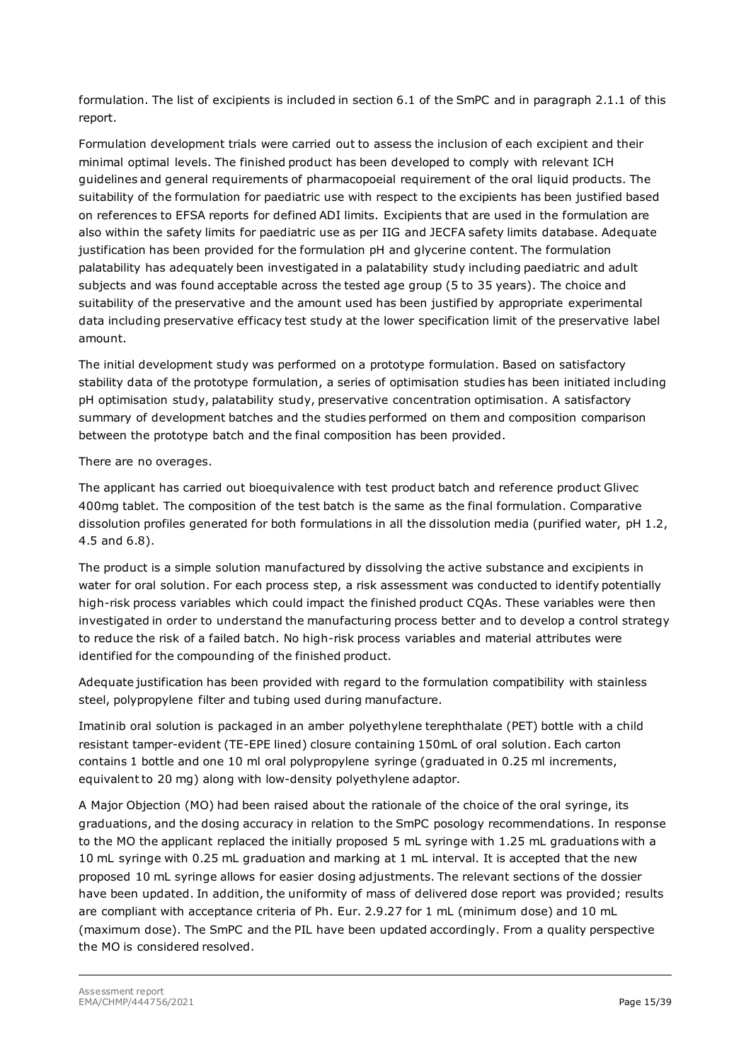formulation. The list of excipients is included in section 6.1 of the SmPC and in paragraph 2.1.1 of this report.

Formulation development trials were carried out to assess the inclusion of each excipient and their minimal optimal levels. The finished product has been developed to comply with relevant ICH guidelines and general requirements of pharmacopoeial requirement of the oral liquid products. The suitability of the formulation for paediatric use with respect to the excipients has been justified based on references to EFSA reports for defined ADI limits. Excipients that are used in the formulation are also within the safety limits for paediatric use as per IIG and JECFA safety limits database. Adequate justification has been provided for the formulation pH and glycerine content. The formulation palatability has adequately been investigated in a palatability study including paediatric and adult subjects and was found acceptable across the tested age group (5 to 35 years). The choice and suitability of the preservative and the amount used has been justified by appropriate experimental data including preservative efficacy test study at the lower specification limit of the preservative label amount.

The initial development study was performed on a prototype formulation. Based on satisfactory stability data of the prototype formulation, a series of optimisation studies has been initiated including pH optimisation study, palatability study, preservative concentration optimisation. A satisfactory summary of development batches and the studies performed on them and composition comparison between the prototype batch and the final composition has been provided.

There are no overages.

The applicant has carried out bioequivalence with test product batch and reference product Glivec 400mg tablet. The composition of the test batch is the same as the final formulation. Comparative dissolution profiles generated for both formulations in all the dissolution media (purified water, pH 1.2, 4.5 and 6.8).

The product is a simple solution manufactured by dissolving the active substance and excipients in water for oral solution. For each process step, a risk assessment was conducted to identify potentially high-risk process variables which could impact the finished product CQAs. These variables were then investigated in order to understand the manufacturing process better and to develop a control strategy to reduce the risk of a failed batch. No high-risk process variables and material attributes were identified for the compounding of the finished product.

Adequate justification has been provided with regard to the formulation compatibility with stainless steel, polypropylene filter and tubing used during manufacture.

Imatinib oral solution is packaged in an amber polyethylene terephthalate (PET) bottle with a child resistant tamper-evident (TE-EPE lined) closure containing 150mL of oral solution. Each carton contains 1 bottle and one 10 ml oral polypropylene syringe (graduated in 0.25 ml increments, equivalent to 20 mg) along with low-density polyethylene adaptor.

A Major Objection (MO) had been raised about the rationale of the choice of the oral syringe, its graduations, and the dosing accuracy in relation to the SmPC posology recommendations. In response to the MO the applicant replaced the initially proposed 5 mL syringe with 1.25 mL graduations with a 10 mL syringe with 0.25 mL graduation and marking at 1 mL interval. It is accepted that the new proposed 10 mL syringe allows for easier dosing adjustments. The relevant sections of the dossier have been updated. In addition, the uniformity of mass of delivered dose report was provided; results are compliant with acceptance criteria of Ph. Eur. 2.9.27 for 1 mL (minimum dose) and 10 mL (maximum dose). The SmPC and the PIL have been updated accordingly. From a quality perspective the MO is considered resolved.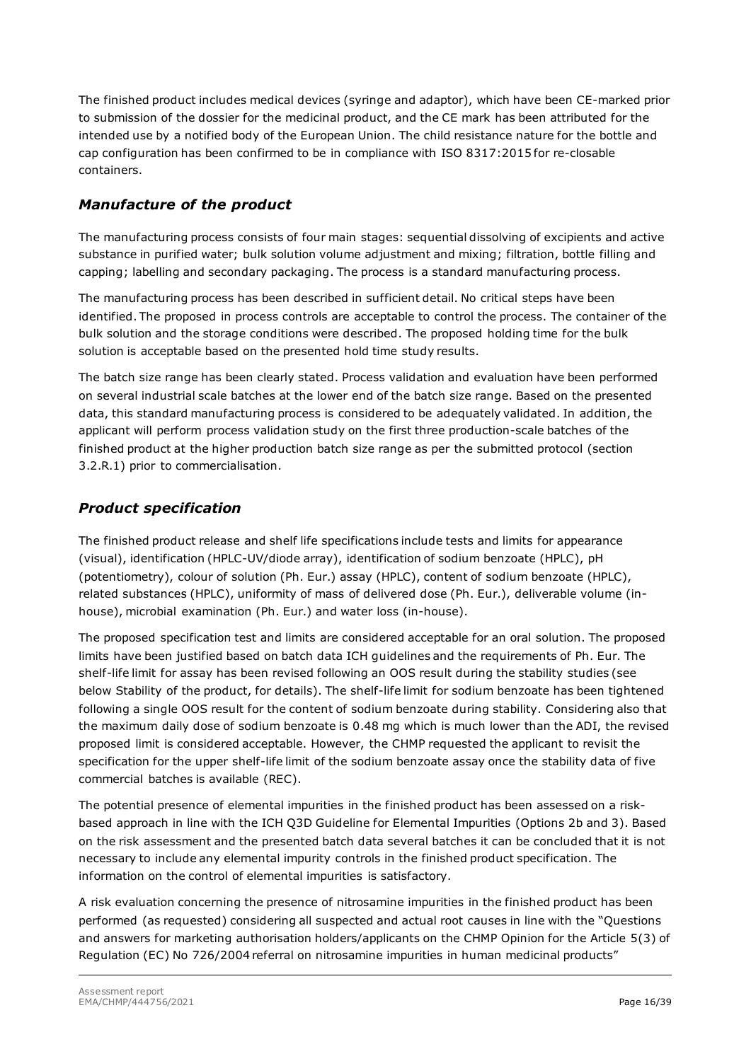The finished product includes medical devices (syringe and adaptor), which have been CE-marked prior to submission of the dossier for the medicinal product, and the CE mark has been attributed for the intended use by a notified body of the European Union. The child resistance nature for the bottle and cap configuration has been confirmed to be in compliance with ISO 8317:2015 for re-closable containers.

# *Manufacture of the product*

The manufacturing process consists of four main stages: sequential dissolving of excipients and active substance in purified water; bulk solution volume adjustment and mixing; filtration, bottle filling and capping; labelling and secondary packaging. The process is a standard manufacturing process.

The manufacturing process has been described in sufficient detail. No critical steps have been identified. The proposed in process controls are acceptable to control the process. The container of the bulk solution and the storage conditions were described. The proposed holding time for the bulk solution is acceptable based on the presented hold time study results.

The batch size range has been clearly stated. Process validation and evaluation have been performed on several industrial scale batches at the lower end of the batch size range. Based on the presented data, this standard manufacturing process is considered to be adequately validated. In addition, the applicant will perform process validation study on the first three production-scale batches of the finished product at the higher production batch size range as per the submitted protocol (section 3.2.R.1) prior to commercialisation.

# *Product specification*

The finished product release and shelf life specifications include tests and limits for appearance (visual), identification (HPLC-UV/diode array), identification of sodium benzoate (HPLC), pH (potentiometry), colour of solution (Ph. Eur.) assay (HPLC), content of sodium benzoate (HPLC), related substances (HPLC), uniformity of mass of delivered dose (Ph. Eur.), deliverable volume (inhouse), microbial examination (Ph. Eur.) and water loss (in-house).

The proposed specification test and limits are considered acceptable for an oral solution. The proposed limits have been justified based on batch data ICH guidelines and the requirements of Ph. Eur. The shelf-life limit for assay has been revised following an OOS result during the stability studies (see below Stability of the product, for details). The shelf-life limit for sodium benzoate has been tightened following a single OOS result for the content of sodium benzoate during stability. Considering also that the maximum daily dose of sodium benzoate is 0.48 mg which is much lower than the ADI, the revised proposed limit is considered acceptable. However, the CHMP requested the applicant to revisit the specification for the upper shelf-life limit of the sodium benzoate assay once the stability data of five commercial batches is available (REC).

The potential presence of elemental impurities in the finished product has been assessed on a riskbased approach in line with the ICH Q3D Guideline for Elemental Impurities (Options 2b and 3). Based on the risk assessment and the presented batch data several batches it can be concluded that it is not necessary to include any elemental impurity controls in the finished product specification. The information on the control of elemental impurities is satisfactory.

A risk evaluation concerning the presence of nitrosamine impurities in the finished product has been performed (as requested) considering all suspected and actual root causes in line with the "Questions and answers for marketing authorisation holders/applicants on the CHMP Opinion for the Article 5(3) of Regulation (EC) No 726/2004 referral on nitrosamine impurities in human medicinal products"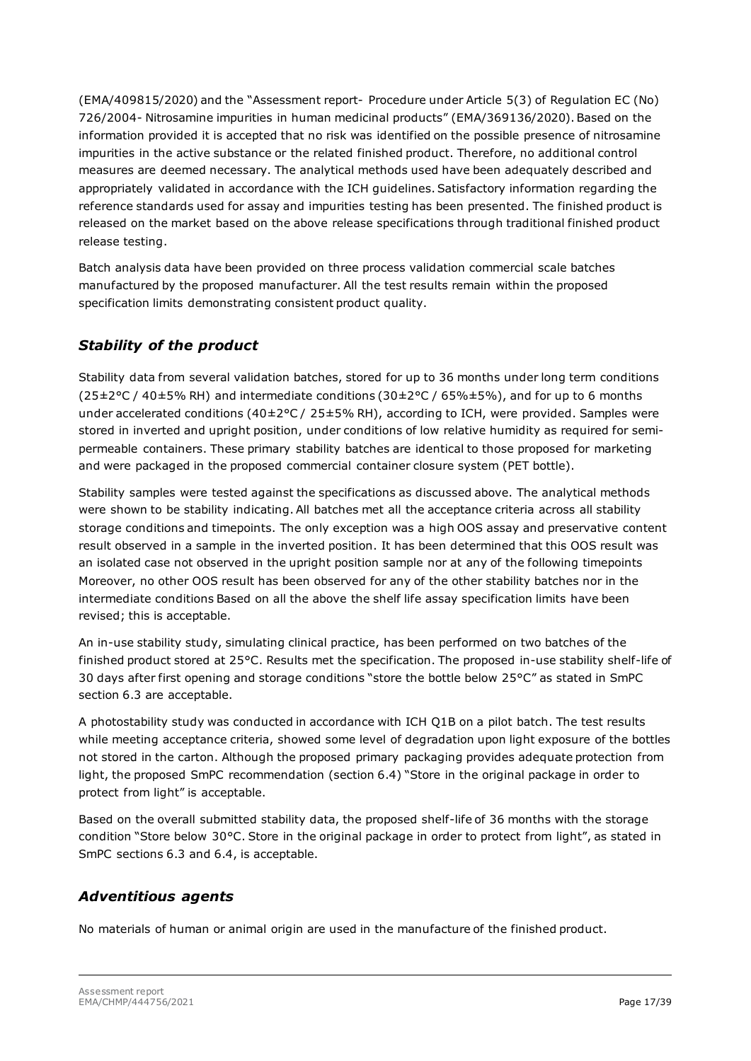(EMA/409815/2020) and the "Assessment report- Procedure under Article 5(3) of Regulation EC (No) 726/2004- Nitrosamine impurities in human medicinal products" (EMA/369136/2020). Based on the information provided it is accepted that no risk was identified on the possible presence of nitrosamine impurities in the active substance or the related finished product. Therefore, no additional control measures are deemed necessary. The analytical methods used have been adequately described and appropriately validated in accordance with the ICH guidelines. Satisfactory information regarding the reference standards used for assay and impurities testing has been presented. The finished product is released on the market based on the above release specifications through traditional finished product release testing.

Batch analysis data have been provided on three process validation commercial scale batches manufactured by the proposed manufacturer. All the test results remain within the proposed specification limits demonstrating consistent product quality.

# *Stability of the product*

Stability data from several validation batches, stored for up to 36 months under long term conditions (25±2°C / 40±5% RH) and intermediate conditions (30±2°C / 65%±5%), and for up to 6 months under accelerated conditions (40±2°C / 25±5% RH), according to ICH, were provided. Samples were stored in inverted and upright position, under conditions of low relative humidity as required for semipermeable containers. These primary stability batches are identical to those proposed for marketing and were packaged in the proposed commercial container closure system (PET bottle).

Stability samples were tested against the specifications as discussed above. The analytical methods were shown to be stability indicating. All batches met all the acceptance criteria across all stability storage conditions and timepoints. The only exception was a high OOS assay and preservative content result observed in a sample in the inverted position. It has been determined that this OOS result was an isolated case not observed in the upright position sample nor at any of the following timepoints Moreover, no other OOS result has been observed for any of the other stability batches nor in the intermediate conditions Based on all the above the shelf life assay specification limits have been revised; this is acceptable.

An in-use stability study, simulating clinical practice, has been performed on two batches of the finished product stored at 25°C. Results met the specification. The proposed in-use stability shelf-life of 30 days after first opening and storage conditions "store the bottle below 25°C" as stated in SmPC section 6.3 are acceptable.

A photostability study was conducted in accordance with ICH Q1B on a pilot batch. The test results while meeting acceptance criteria, showed some level of degradation upon light exposure of the bottles not stored in the carton. Although the proposed primary packaging provides adequate protection from light, the proposed SmPC recommendation (section 6.4) "Store in the original package in order to protect from light" is acceptable.

Based on the overall submitted stability data, the proposed shelf-life of 36 months with the storage condition "Store below 30°C. Store in the original package in order to protect from light", as stated in SmPC sections 6.3 and 6.4, is acceptable.

# *Adventitious agents*

No materials of human or animal origin are used in the manufacture of the finished product.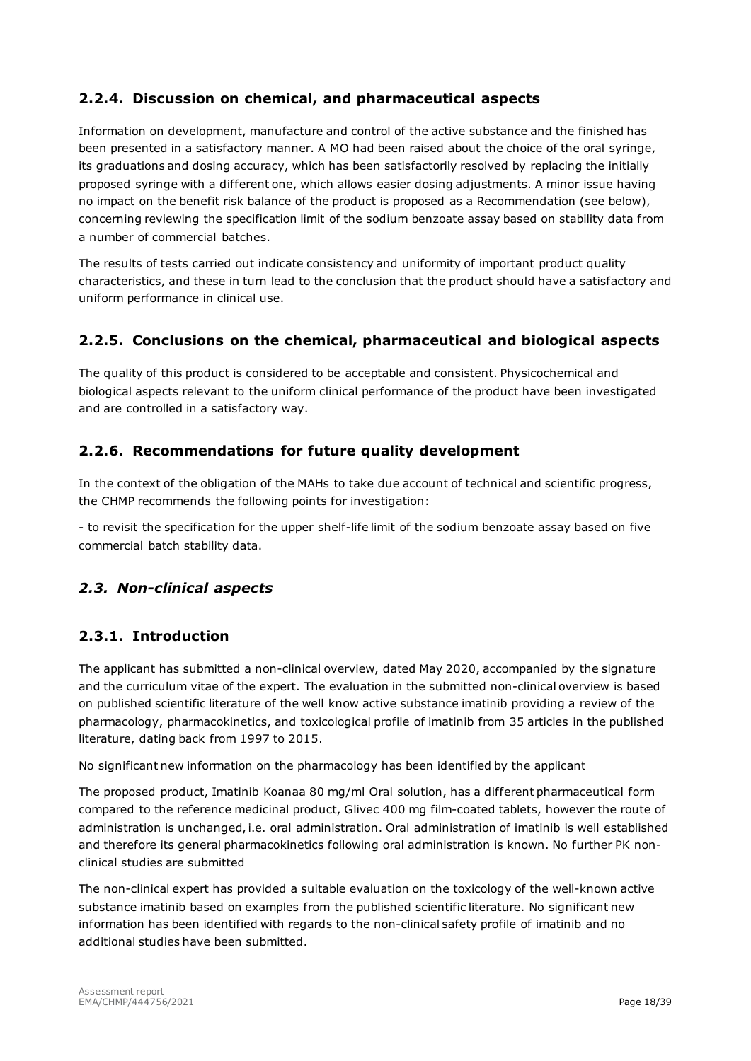# <span id="page-17-0"></span>**2.2.4. Discussion on chemical, and pharmaceutical aspects**

Information on development, manufacture and control of the active substance and the finished has been presented in a satisfactory manner. A MO had been raised about the choice of the oral syringe, its graduations and dosing accuracy, which has been satisfactorily resolved by replacing the initially proposed syringe with a different one, which allows easier dosing adjustments. A minor issue having no impact on the benefit risk balance of the product is proposed as a Recommendation (see below), concerning reviewing the specification limit of the sodium benzoate assay based on stability data from a number of commercial batches.

The results of tests carried out indicate consistency and uniformity of important product quality characteristics, and these in turn lead to the conclusion that the product should have a satisfactory and uniform performance in clinical use.

## <span id="page-17-1"></span>**2.2.5. Conclusions on the chemical, pharmaceutical and biological aspects**

The quality of this product is considered to be acceptable and consistent. Physicochemical and biological aspects relevant to the uniform clinical performance of the product have been investigated and are controlled in a satisfactory way.

## <span id="page-17-2"></span>**2.2.6. Recommendations for future quality development**

In the context of the obligation of the MAHs to take due account of technical and scientific progress, the CHMP recommends the following points for investigation:

- to revisit the specification for the upper shelf-life limit of the sodium benzoate assay based on five commercial batch stability data.

## <span id="page-17-3"></span>*2.3. Non-clinical aspects*

## <span id="page-17-4"></span>**2.3.1. Introduction**

The applicant has submitted a non-clinical overview, dated May 2020, accompanied by the signature and the curriculum vitae of the expert. The evaluation in the submitted non-clinical overview is based on published scientific literature of the well know active substance imatinib providing a review of the pharmacology, pharmacokinetics, and toxicological profile of imatinib from 35 articles in the published literature, dating back from 1997 to 2015.

No significant new information on the pharmacology has been identified by the applicant

The proposed product, Imatinib Koanaa 80 mg/ml Oral solution, has a different pharmaceutical form compared to the reference medicinal product, Glivec 400 mg film-coated tablets, however the route of administration is unchanged, i.e. oral administration. Oral administration of imatinib is well established and therefore its general pharmacokinetics following oral administration is known. No further PK nonclinical studies are submitted

The non-clinical expert has provided a suitable evaluation on the toxicology of the well-known active substance imatinib based on examples from the published scientific literature. No significant new information has been identified with regards to the non-clinical safety profile of imatinib and no additional studies have been submitted.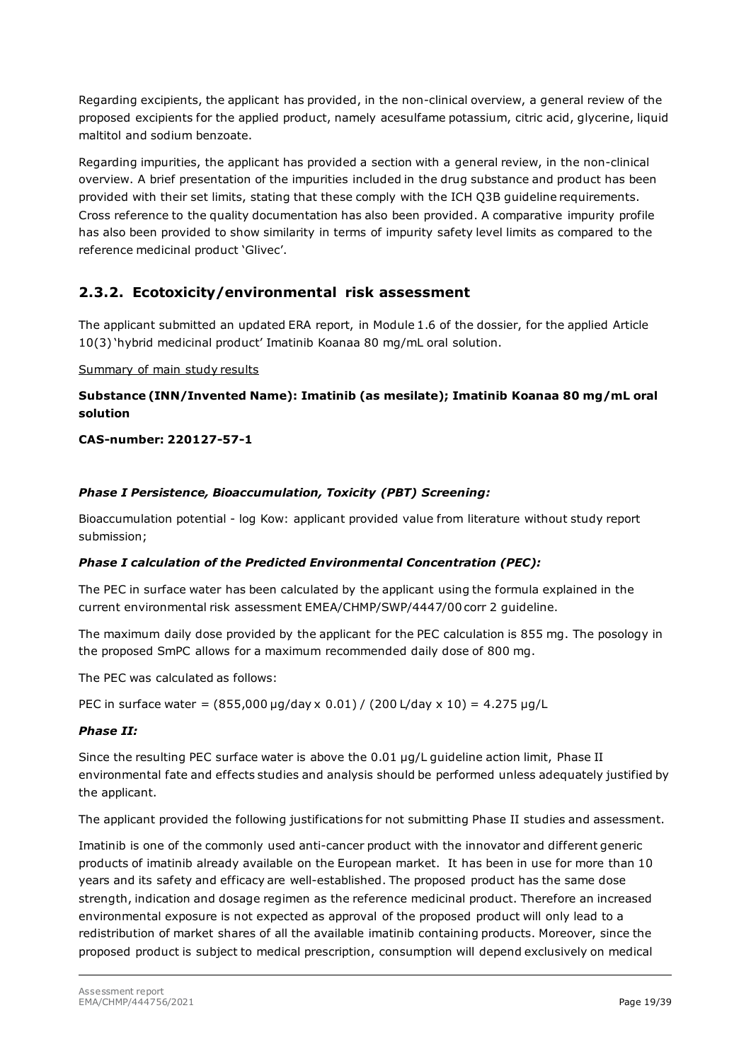Regarding excipients, the applicant has provided, in the non-clinical overview, a general review of the proposed excipients for the applied product, namely acesulfame potassium, citric acid, glycerine, liquid maltitol and sodium benzoate.

Regarding impurities, the applicant has provided a section with a general review, in the non-clinical overview. A brief presentation of the impurities included in the drug substance and product has been provided with their set limits, stating that these comply with the ICH Q3B guideline requirements. Cross reference to the quality documentation has also been provided. A comparative impurity profile has also been provided to show similarity in terms of impurity safety level limits as compared to the reference medicinal product 'Glivec'.

## <span id="page-18-0"></span>**2.3.2. Ecotoxicity/environmental risk assessment**

The applicant submitted an updated ERA report, in Module 1.6 of the dossier, for the applied Article 10(3) 'hybrid medicinal product' Imatinib Koanaa 80 mg/mL oral solution.

#### Summary of main study results

#### **Substance (INN/Invented Name): Imatinib (as mesilate); Imatinib Koanaa 80 mg/mL oral solution**

#### **CAS-number: 220127-57-1**

#### *Phase I Persistence, Bioaccumulation, Toxicity (PBT) Screening:*

Bioaccumulation potential - log Kow: applicant provided value from literature without study report submission;

#### *Phase I calculation of the Predicted Environmental Concentration (PEC):*

The PEC in surface water has been calculated by the applicant using the formula explained in the current environmental risk assessment EMEA/CHMP/SWP/4447/00 corr 2 guideline.

The maximum daily dose provided by the applicant for the PEC calculation is 855 mg. The posology in the proposed SmPC allows for a maximum recommended daily dose of 800 mg.

The PEC was calculated as follows:

PEC in surface water = (855,000 μg/day x 0.01) / (200 L/day x 10) = 4.275 μg/L

#### *Phase II:*

Since the resulting PEC surface water is above the 0.01 µg/L guideline action limit, Phase II environmental fate and effects studies and analysis should be performed unless adequately justified by the applicant.

The applicant provided the following justifications for not submitting Phase II studies and assessment.

Imatinib is one of the commonly used anti-cancer product with the innovator and different generic products of imatinib already available on the European market. It has been in use for more than 10 years and its safety and efficacy are well-established. The proposed product has the same dose strength, indication and dosage regimen as the reference medicinal product. Therefore an increased environmental exposure is not expected as approval of the proposed product will only lead to a redistribution of market shares of all the available imatinib containing products. Moreover, since the proposed product is subject to medical prescription, consumption will depend exclusively on medical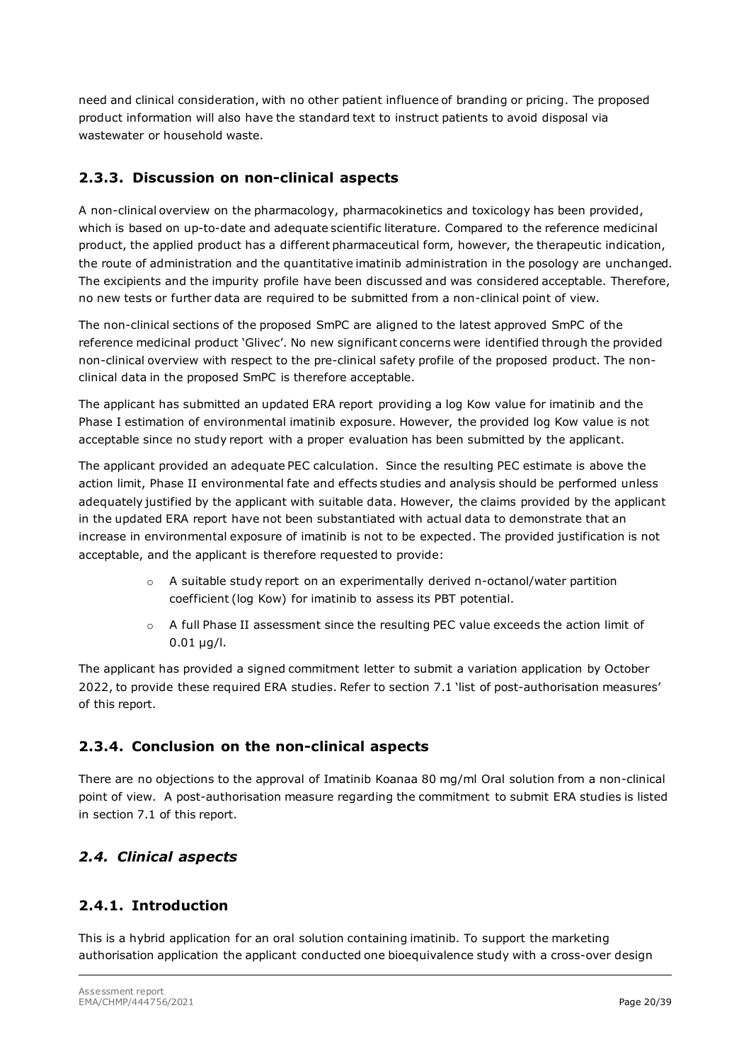need and clinical consideration, with no other patient influence of branding or pricing. The proposed product information will also have the standard text to instruct patients to avoid disposal via wastewater or household waste.

# <span id="page-19-0"></span>**2.3.3. Discussion on non-clinical aspects**

A non-clinical overview on the pharmacology, pharmacokinetics and toxicology has been provided, which is based on up-to-date and adequate scientific literature. Compared to the reference medicinal product, the applied product has a different pharmaceutical form, however, the therapeutic indication, the route of administration and the quantitative imatinib administration in the posology are unchanged. The excipients and the impurity profile have been discussed and was considered acceptable. Therefore, no new tests or further data are required to be submitted from a non-clinical point of view.

The non-clinical sections of the proposed SmPC are aligned to the latest approved SmPC of the reference medicinal product 'Glivec'. No new significant concerns were identified through the provided non-clinical overview with respect to the pre-clinical safety profile of the proposed product. The nonclinical data in the proposed SmPC is therefore acceptable.

The applicant has submitted an updated ERA report providing a log Kow value for imatinib and the Phase I estimation of environmental imatinib exposure. However, the provided log Kow value is not acceptable since no study report with a proper evaluation has been submitted by the applicant.

The applicant provided an adequate PEC calculation. Since the resulting PEC estimate is above the action limit, Phase II environmental fate and effects studies and analysis should be performed unless adequately justified by the applicant with suitable data. However, the claims provided by the applicant in the updated ERA report have not been substantiated with actual data to demonstrate that an increase in environmental exposure of imatinib is not to be expected. The provided justification is not acceptable, and the applicant is therefore requested to provide:

- $\circ$  A suitable study report on an experimentally derived n-octanol/water partition coefficient (log Kow) for imatinib to assess its PBT potential.
- o A full Phase II assessment since the resulting PEC value exceeds the action limit of 0.01 µg/l.

The applicant has provided a signed commitment letter to submit a variation application by October 2022, to provide these required ERA studies. Refer to section 7.1 'list of post-authorisation measures' of this report.

# <span id="page-19-1"></span>**2.3.4. Conclusion on the non-clinical aspects**

There are no objections to the approval of Imatinib Koanaa 80 mg/ml Oral solution from a non-clinical point of view. A post-authorisation measure regarding the commitment to submit ERA studies is listed in section 7.1 of this report.

# <span id="page-19-2"></span>*2.4. Clinical aspects*

# <span id="page-19-3"></span>**2.4.1. Introduction**

This is a hybrid application for an oral solution containing imatinib. To support the marketing authorisation application the applicant conducted one bioequivalence study with a cross-over design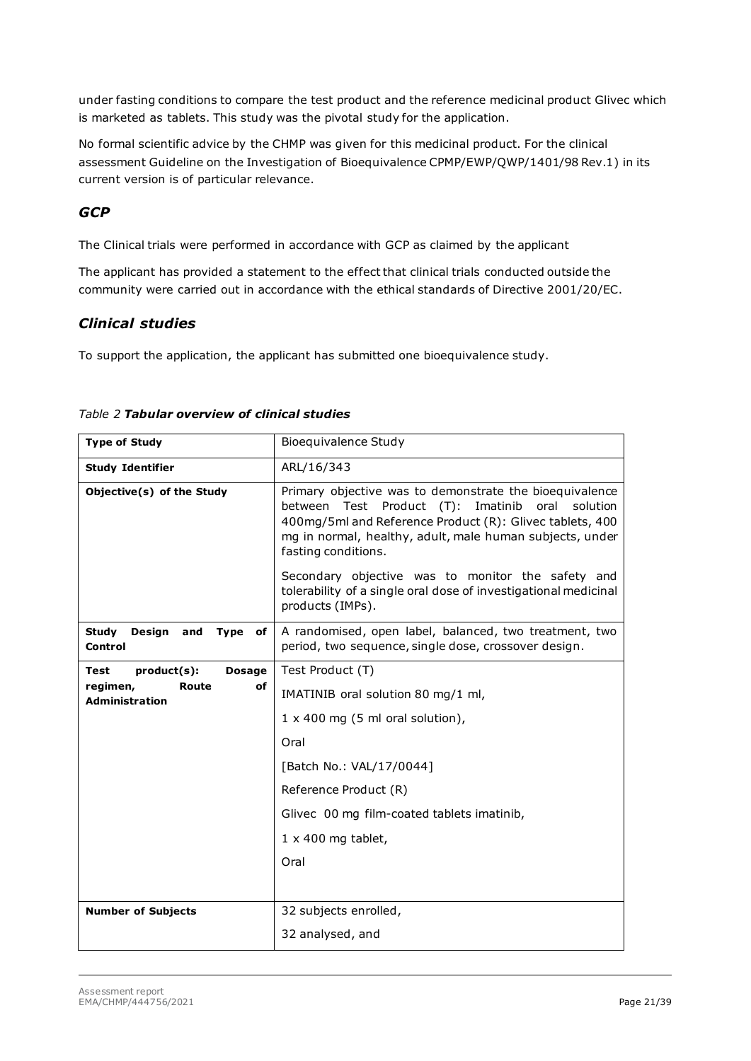under fasting conditions to compare the test product and the reference medicinal product Glivec which is marketed as tablets. This study was the pivotal study for the application.

No formal scientific advice by the CHMP was given for this medicinal product. For the clinical assessment Guideline on the Investigation of Bioequivalence CPMP/EWP/QWP/1401/98 Rev.1) in its current version is of particular relevance.

# *GCP*

The Clinical trials were performed in accordance with GCP as claimed by the applicant

The applicant has provided a statement to the effect that clinical trials conducted outside the community were carried out in accordance with the ethical standards of Directive 2001/20/EC.

### *Clinical studies*

To support the application, the applicant has submitted one bioequivalence study.

| <b>Type of Study</b>                                   | Bioequivalence Study                                                                                                                                                                                                                                                |
|--------------------------------------------------------|---------------------------------------------------------------------------------------------------------------------------------------------------------------------------------------------------------------------------------------------------------------------|
| <b>Study Identifier</b>                                | ARL/16/343                                                                                                                                                                                                                                                          |
| Objective(s) of the Study                              | Primary objective was to demonstrate the bioequivalence<br>between Test Product (T):<br>Imatinib<br>oral<br>solution<br>400mg/5ml and Reference Product (R): Glivec tablets, 400<br>mg in normal, healthy, adult, male human subjects, under<br>fasting conditions. |
|                                                        | Secondary objective was to monitor the safety and<br>tolerability of a single oral dose of investigational medicinal<br>products (IMPs).                                                                                                                            |
| <b>Study</b><br>Design<br>Type<br>and<br>of<br>Control | A randomised, open label, balanced, two treatment, two<br>period, two sequence, single dose, crossover design.                                                                                                                                                      |
| product(s):<br><b>Dosage</b><br><b>Test</b>            | Test Product (T)                                                                                                                                                                                                                                                    |
| regimen,<br>Route<br>οf<br><b>Administration</b>       | IMATINIB oral solution 80 mg/1 ml,                                                                                                                                                                                                                                  |
|                                                        | $1 \times 400$ mg (5 ml oral solution),                                                                                                                                                                                                                             |
|                                                        | Oral                                                                                                                                                                                                                                                                |
|                                                        | [Batch No.: VAL/17/0044]                                                                                                                                                                                                                                            |
|                                                        | Reference Product (R)                                                                                                                                                                                                                                               |
|                                                        | Glivec 00 mg film-coated tablets imatinib,                                                                                                                                                                                                                          |
|                                                        | $1 \times 400$ mg tablet,                                                                                                                                                                                                                                           |
|                                                        | Oral                                                                                                                                                                                                                                                                |
|                                                        |                                                                                                                                                                                                                                                                     |
| <b>Number of Subjects</b>                              | 32 subjects enrolled,                                                                                                                                                                                                                                               |
|                                                        | 32 analysed, and                                                                                                                                                                                                                                                    |

#### *Table 2 Tabular overview of clinical studies*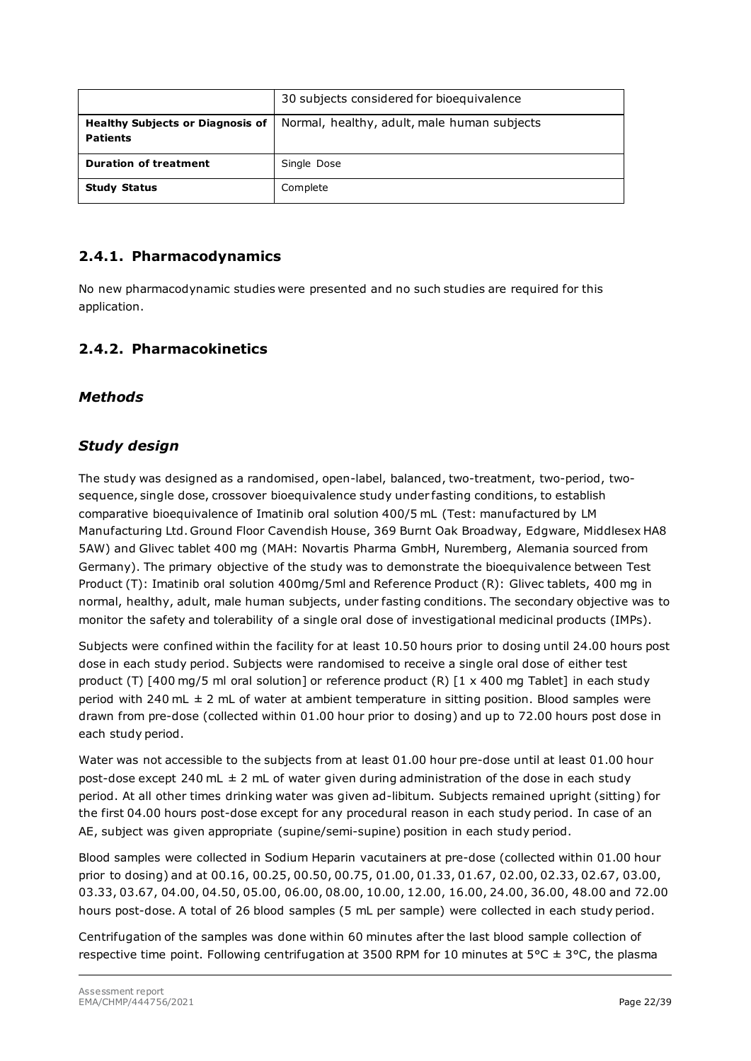|                                                            | 30 subjects considered for bioequivalence   |
|------------------------------------------------------------|---------------------------------------------|
| <b>Healthy Subjects or Diagnosis of</b><br><b>Patients</b> | Normal, healthy, adult, male human subjects |
| <b>Duration of treatment</b>                               | Single Dose                                 |
| <b>Study Status</b>                                        | Complete                                    |

# <span id="page-21-0"></span>**2.4.1. Pharmacodynamics**

No new pharmacodynamic studies were presented and no such studies are required for this application.

### <span id="page-21-1"></span>**2.4.2. Pharmacokinetics**

#### *Methods*

### *Study design*

The study was designed as a randomised, open-label, balanced, two-treatment, two-period, twosequence, single dose, crossover bioequivalence study under fasting conditions, to establish comparative bioequivalence of Imatinib oral solution 400/5 mL (Test: manufactured by LM Manufacturing Ltd. Ground Floor Cavendish House, 369 Burnt Oak Broadway, Edgware, Middlesex HA8 5AW) and Glivec tablet 400 mg (MAH: Novartis Pharma GmbH, Nuremberg, Alemania sourced from Germany). The primary objective of the study was to demonstrate the bioequivalence between Test Product (T): Imatinib oral solution 400mg/5ml and Reference Product (R): Glivec tablets, 400 mg in normal, healthy, adult, male human subjects, under fasting conditions. The secondary objective was to monitor the safety and tolerability of a single oral dose of investigational medicinal products (IMPs).

Subjects were confined within the facility for at least 10.50 hours prior to dosing until 24.00 hours post dose in each study period. Subjects were randomised to receive a single oral dose of either test product (T) [400 mg/5 ml oral solution] or reference product (R) [1 x 400 mg Tablet] in each study period with 240 mL  $\pm$  2 mL of water at ambient temperature in sitting position. Blood samples were drawn from pre-dose (collected within 01.00 hour prior to dosing) and up to 72.00 hours post dose in each study period.

Water was not accessible to the subjects from at least 01.00 hour pre-dose until at least 01.00 hour post-dose except 240 mL  $\pm$  2 mL of water given during administration of the dose in each study period. At all other times drinking water was given ad-libitum. Subjects remained upright (sitting) for the first 04.00 hours post-dose except for any procedural reason in each study period. In case of an AE, subject was given appropriate (supine/semi-supine) position in each study period.

Blood samples were collected in Sodium Heparin vacutainers at pre-dose (collected within 01.00 hour prior to dosing) and at 00.16, 00.25, 00.50, 00.75, 01.00, 01.33, 01.67, 02.00, 02.33, 02.67, 03.00, 03.33, 03.67, 04.00, 04.50, 05.00, 06.00, 08.00, 10.00, 12.00, 16.00, 24.00, 36.00, 48.00 and 72.00 hours post-dose. A total of 26 blood samples (5 mL per sample) were collected in each study period.

Centrifugation of the samples was done within 60 minutes after the last blood sample collection of respective time point. Following centrifugation at 3500 RPM for 10 minutes at 5°C  $\pm$  3°C, the plasma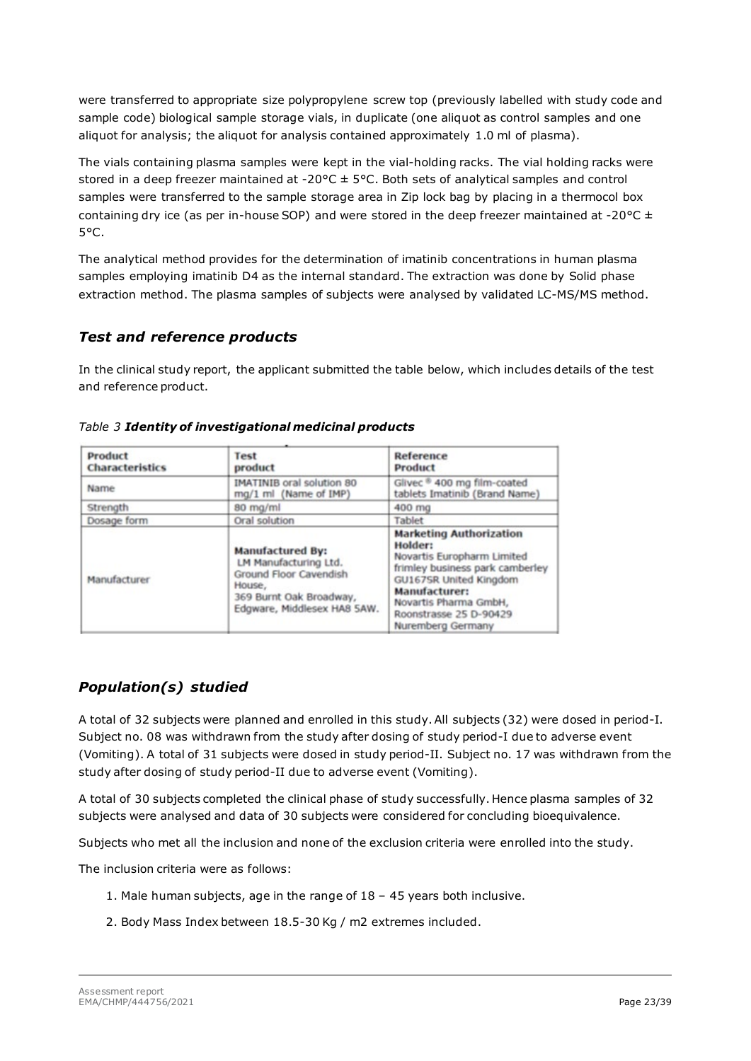were transferred to appropriate size polypropylene screw top (previously labelled with study code and sample code) biological sample storage vials, in duplicate (one aliquot as control samples and one aliquot for analysis; the aliquot for analysis contained approximately 1.0 ml of plasma).

The vials containing plasma samples were kept in the vial-holding racks. The vial holding racks were stored in a deep freezer maintained at -20 $\textdegree$ C  $\pm$  5 $\textdegree$ C. Both sets of analytical samples and control samples were transferred to the sample storage area in Zip lock bag by placing in a thermocol box containing dry ice (as per in-house SOP) and were stored in the deep freezer maintained at -20 $\degree$ C  $\pm$ 5°C.

The analytical method provides for the determination of imatinib concentrations in human plasma samples employing imatinib D4 as the internal standard. The extraction was done by Solid phase extraction method. The plasma samples of subjects were analysed by validated LC-MS/MS method.

## *Test and reference products*

In the clinical study report, the applicant submitted the table below, which includes details of the test and reference product.

| Product<br><b>Characteristics</b> | Test<br>product                                                                                                                                | Reference<br>Product                                                                                                                                                                                                          |  |
|-----------------------------------|------------------------------------------------------------------------------------------------------------------------------------------------|-------------------------------------------------------------------------------------------------------------------------------------------------------------------------------------------------------------------------------|--|
| Name                              | <b>IMATINIB</b> oral solution 80<br>mg/1 ml (Name of IMP)                                                                                      | Glivec ® 400 mg film-coated<br>tablets Imatinib (Brand Name)                                                                                                                                                                  |  |
| Strength                          | 80 mg/ml                                                                                                                                       | 400 mg                                                                                                                                                                                                                        |  |
| Dosage form                       | Oral solution                                                                                                                                  | Tablet                                                                                                                                                                                                                        |  |
| Manufacturer                      | <b>Manufactured By:</b><br>LM Manufacturing Ltd.<br>Ground Floor Cavendish<br>House,<br>369 Burnt Oak Broadway,<br>Edgware, Middlesex HA8 SAW. | <b>Marketing Authorization</b><br>Holder:<br>Novartis Europharm Limited<br>frimley business park camberley<br>GU167SR United Kingdom<br>Manufacturer:<br>Novartis Pharma GmbH,<br>Roonstrasse 25 D-90429<br>Nuremberg Germany |  |

#### *Table 3 Identity of investigational medicinal products*

# *Population(s) studied*

A total of 32 subjects were planned and enrolled in this study. All subjects (32) were dosed in period-I. Subject no. 08 was withdrawn from the study after dosing of study period-I due to adverse event (Vomiting). A total of 31 subjects were dosed in study period-II. Subject no. 17 was withdrawn from the study after dosing of study period-II due to adverse event (Vomiting).

A total of 30 subjects completed the clinical phase of study successfully. Hence plasma samples of 32 subjects were analysed and data of 30 subjects were considered for concluding bioequivalence.

Subjects who met all the inclusion and none of the exclusion criteria were enrolled into the study.

The inclusion criteria were as follows:

- 1. Male human subjects, age in the range of 18 45 years both inclusive.
- 2. Body Mass Index between 18.5-30 Kg / m2 extremes included.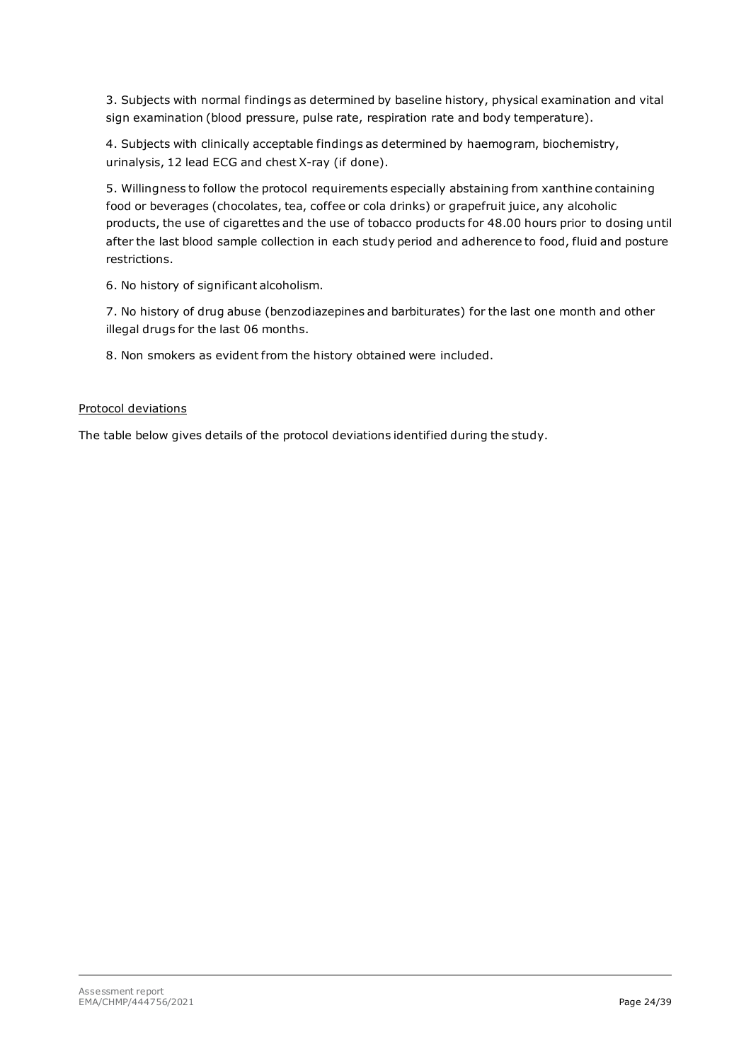3. Subjects with normal findings as determined by baseline history, physical examination and vital sign examination (blood pressure, pulse rate, respiration rate and body temperature).

4. Subjects with clinically acceptable findings as determined by haemogram, biochemistry, urinalysis, 12 lead ECG and chest X-ray (if done).

5. Willingness to follow the protocol requirements especially abstaining from xanthine containing food or beverages (chocolates, tea, coffee or cola drinks) or grapefruit juice, any alcoholic products, the use of cigarettes and the use of tobacco products for 48.00 hours prior to dosing until after the last blood sample collection in each study period and adherence to food, fluid and posture restrictions.

6. No history of significant alcoholism.

7. No history of drug abuse (benzodiazepines and barbiturates) for the last one month and other illegal drugs for the last 06 months.

8. Non smokers as evident from the history obtained were included.

#### Protocol deviations

The table below gives details of the protocol deviations identified during the study.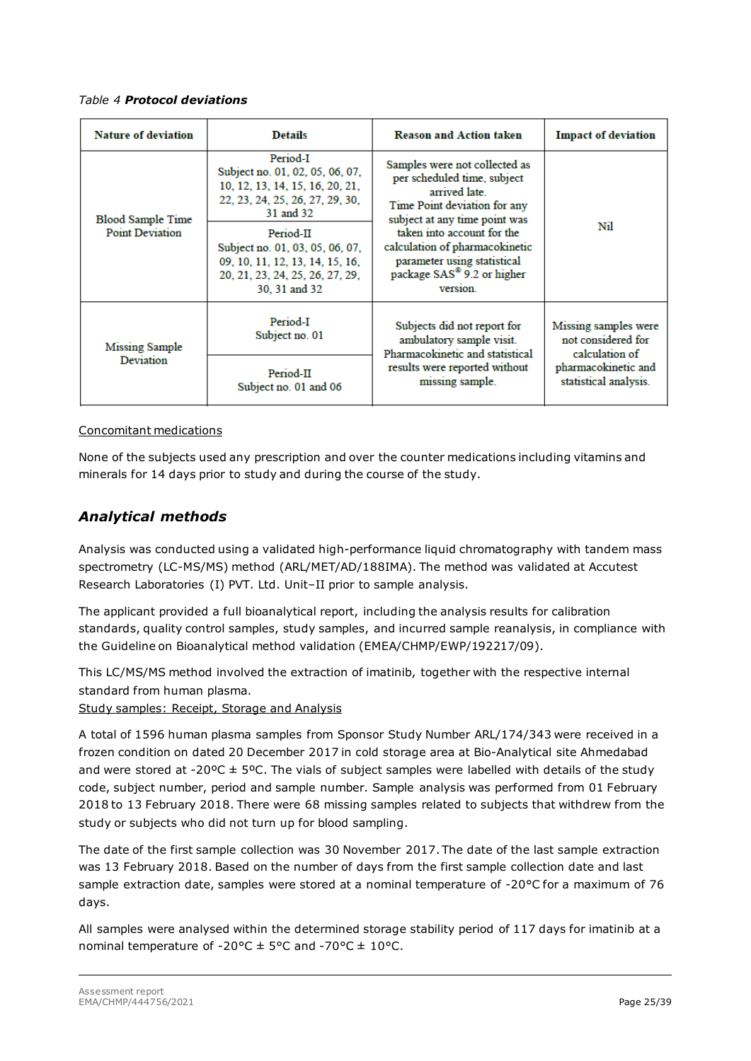#### *Table 4 Protocol deviations*

| <b>Nature of deviation</b> | <b>Details</b>                                                                                                                      | <b>Reason and Action taken</b>                                                                                                                    | <b>Impact of deviation</b>                                   |
|----------------------------|-------------------------------------------------------------------------------------------------------------------------------------|---------------------------------------------------------------------------------------------------------------------------------------------------|--------------------------------------------------------------|
| <b>Blood Sample Time</b>   | Period-I<br>Subject no. 01, 02, 05, 06, 07,<br>10, 12, 13, 14, 15, 16, 20, 21,<br>22, 23, 24, 25, 26, 27, 29, 30,<br>31 and 32      | Samples were not collected as<br>per scheduled time, subject<br>arrived late<br>Time Point deviation for any<br>subject at any time point was     |                                                              |
| <b>Point Deviation</b>     | Period-II<br>Subject no. 01, 03, 05, 06, 07,<br>09, 10, 11, 12, 13, 14, 15, 16,<br>20, 21, 23, 24, 25, 26, 27, 29,<br>30, 31 and 32 | taken into account for the<br>calculation of pharmacokinetic<br>parameter using statistical<br>package SAS <sup>®</sup> 9.2 or higher<br>version. | Nil                                                          |
| <b>Missing Sample</b>      | Period-I<br>Subject no. 01                                                                                                          | Subjects did not report for<br>ambulatory sample visit.<br>Pharmacokinetic and statistical                                                        | Missing samples were<br>not considered for<br>calculation of |
| Deviation                  | Period-II<br>Subject no. 01 and 06                                                                                                  | results were reported without<br>missing sample.                                                                                                  | pharmacokinetic and<br>statistical analysis.                 |

#### Concomitant medications

None of the subjects used any prescription and over the counter medications including vitamins and minerals for 14 days prior to study and during the course of the study.

### *Analytical methods*

Analysis was conducted using a validated high-performance liquid chromatography with tandem mass spectrometry (LC-MS/MS) method (ARL/MET/AD/188IMA). The method was validated at Accutest Research Laboratories (I) PVT. Ltd. Unit–II prior to sample analysis.

The applicant provided a full bioanalytical report, including the analysis results for calibration standards, quality control samples, study samples, and incurred sample reanalysis, in compliance with the Guideline on Bioanalytical method validation (EMEA/CHMP/EWP/192217/09).

This LC/MS/MS method involved the extraction of imatinib, together with the respective internal standard from human plasma.

Study samples: Receipt, Storage and Analysis

A total of 1596 human plasma samples from Sponsor Study Number ARL/174/343 were received in a frozen condition on dated 20 December 2017 in cold storage area at Bio-Analytical site Ahmedabad and were stored at -20 $\textdegree$ C ± 5 $\textdegree$ C. The vials of subject samples were labelled with details of the study code, subject number, period and sample number. Sample analysis was performed from 01 February 2018 to 13 February 2018. There were 68 missing samples related to subjects that withdrew from the study or subjects who did not turn up for blood sampling.

The date of the first sample collection was 30 November 2017. The date of the last sample extraction was 13 February 2018. Based on the number of days from the first sample collection date and last sample extraction date, samples were stored at a nominal temperature of -20°C for a maximum of 76 days.

All samples were analysed within the determined storage stability period of 117 days for imatinib at a nominal temperature of -20 $^{\circ}$ C  $\pm$  5°C and -70°C  $\pm$  10°C.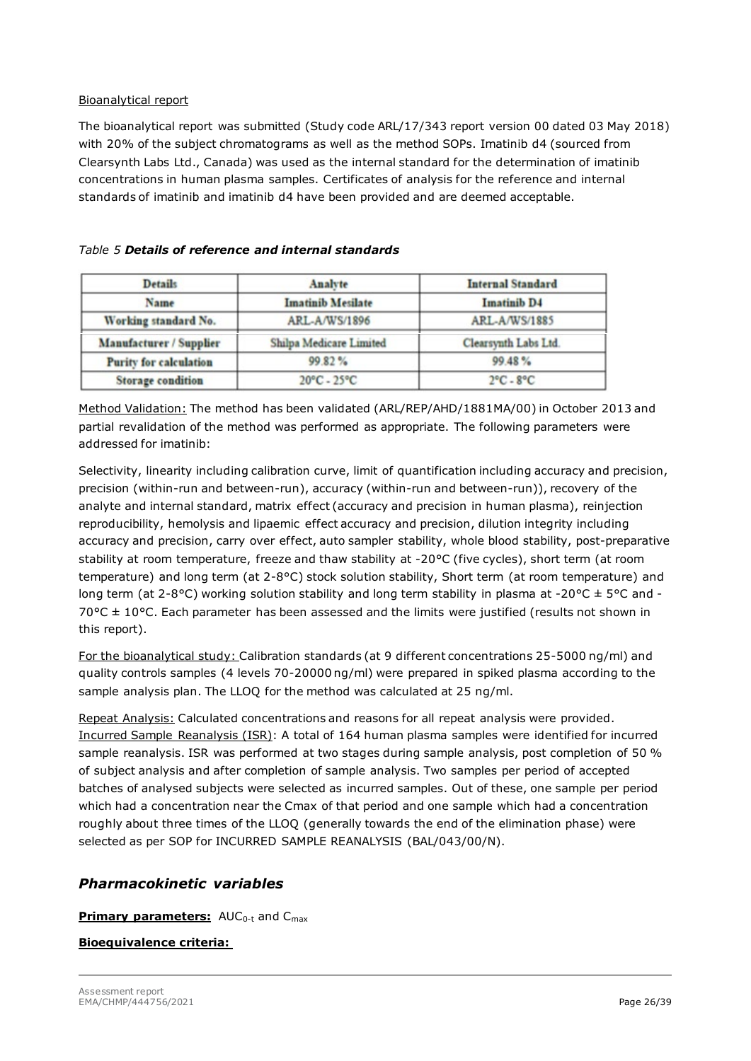#### Bioanalytical report

The bioanalytical report was submitted (Study code ARL/17/343 report version 00 dated 03 May 2018) with 20% of the subject chromatograms as well as the method SOPs. Imatinib d4 (sourced from Clearsynth Labs Ltd., Canada) was used as the internal standard for the determination of imatinib concentrations in human plasma samples. Certificates of analysis for the reference and internal standards of imatinib and imatinib d4 have been provided and are deemed acceptable.

| <b>Details</b>                | Analyte                         | <b>Internal Standard</b><br><b>Imatinib D4</b><br>ARL-A/WS/1885 |  |
|-------------------------------|---------------------------------|-----------------------------------------------------------------|--|
| Name                          | <b>Imatinib Mesilate</b>        |                                                                 |  |
| Working standard No.          | ARL-A/WS/1896                   |                                                                 |  |
| Manufacturer / Supplier       | Shilpa Medicare Limited         | Clearsynth Labs Ltd.                                            |  |
| <b>Purity for calculation</b> | 99.82%                          | 99.48%                                                          |  |
| <b>Storage condition</b>      | $20^{\circ}$ C - $25^{\circ}$ C | $2^{\circ}$ C - $8^{\circ}$ C                                   |  |

#### *Table 5 Details of reference and internal standards*

Method Validation: The method has been validated (ARL/REP/AHD/1881MA/00) in October 2013 and partial revalidation of the method was performed as appropriate. The following parameters were addressed for imatinib:

Selectivity, linearity including calibration curve, limit of quantification including accuracy and precision, precision (within-run and between-run), accuracy (within-run and between-run)), recovery of the analyte and internal standard, matrix effect (accuracy and precision in human plasma), reinjection reproducibility, hemolysis and lipaemic effect accuracy and precision, dilution integrity including accuracy and precision, carry over effect, auto sampler stability, whole blood stability, post-preparative stability at room temperature, freeze and thaw stability at -20°C (five cycles), short term (at room temperature) and long term (at 2-8°C) stock solution stability, Short term (at room temperature) and long term (at 2-8°C) working solution stability and long term stability in plasma at -20°C  $\pm$  5°C and - $70^{\circ}$ C  $\pm$  10°C. Each parameter has been assessed and the limits were justified (results not shown in this report).

For the bioanalytical study: Calibration standards (at 9 different concentrations 25-5000 ng/ml) and quality controls samples (4 levels 70-20000 ng/ml) were prepared in spiked plasma according to the sample analysis plan. The LLOQ for the method was calculated at 25 ng/ml.

Repeat Analysis: Calculated concentrations and reasons for all repeat analysis were provided. Incurred Sample Reanalysis (ISR): A total of 164 human plasma samples were identified for incurred sample reanalysis. ISR was performed at two stages during sample analysis, post completion of 50 % of subject analysis and after completion of sample analysis. Two samples per period of accepted batches of analysed subjects were selected as incurred samples. Out of these, one sample per period which had a concentration near the Cmax of that period and one sample which had a concentration roughly about three times of the LLOQ (generally towards the end of the elimination phase) were selected as per SOP for INCURRED SAMPLE REANALYSIS (BAL/043/00/N).

## *Pharmacokinetic variables*

#### **Primary parameters:** AUC<sub>0-t</sub> and C<sub>max</sub>

#### **Bioequivalence criteria:**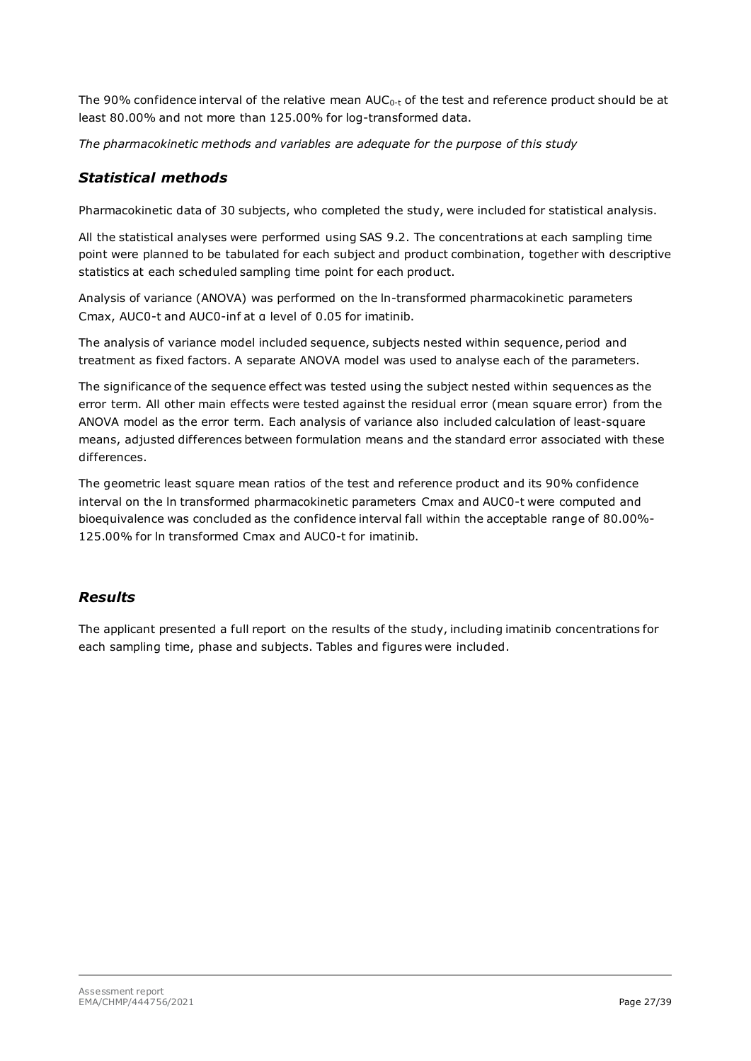The 90% confidence interval of the relative mean  $AUC_{0-t}$  of the test and reference product should be at least 80.00% and not more than 125.00% for log-transformed data.

*The pharmacokinetic methods and variables are adequate for the purpose of this study*

## *Statistical methods*

Pharmacokinetic data of 30 subjects, who completed the study, were included for statistical analysis.

All the statistical analyses were performed using SAS 9.2. The concentrations at each sampling time point were planned to be tabulated for each subject and product combination, together with descriptive statistics at each scheduled sampling time point for each product.

Analysis of variance (ANOVA) was performed on the ln-transformed pharmacokinetic parameters Cmax, AUC0-t and AUC0-inf at α level of 0.05 for imatinib.

The analysis of variance model included sequence, subjects nested within sequence, period and treatment as fixed factors. A separate ANOVA model was used to analyse each of the parameters.

The significance of the sequence effect was tested using the subject nested within sequences as the error term. All other main effects were tested against the residual error (mean square error) from the ANOVA model as the error term. Each analysis of variance also included calculation of least-square means, adjusted differences between formulation means and the standard error associated with these differences.

The geometric least square mean ratios of the test and reference product and its 90% confidence interval on the ln transformed pharmacokinetic parameters Cmax and AUC0-t were computed and bioequivalence was concluded as the confidence interval fall within the acceptable range of 80.00%- 125.00% for ln transformed Cmax and AUC0-t for imatinib.

# *Results*

The applicant presented a full report on the results of the study, including imatinib concentrations for each sampling time, phase and subjects. Tables and figures were included.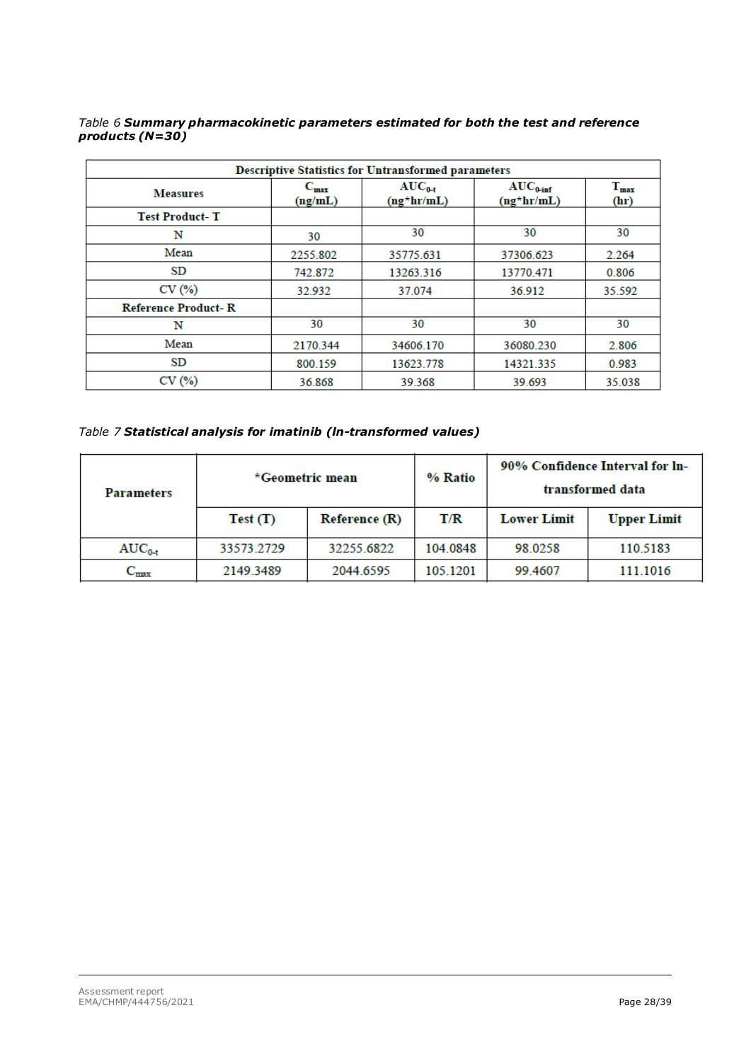#### *Table 6 Summary pharmacokinetic parameters estimated for both the test and reference products (N=30)*

| <b>Descriptive Statistics for Untransformed parameters</b> |                      |                              |                                       |                   |  |
|------------------------------------------------------------|----------------------|------------------------------|---------------------------------------|-------------------|--|
| <b>Measures</b>                                            | $C_{max}$<br>(ng/mL) | $AUC_{0-t}$<br>$(ng^*hr/mL)$ | $AUC_{0\text{-inf}}$<br>$(ng^*hr/mL)$ | $T_{max}$<br>(hr) |  |
| <b>Test Product-T</b>                                      |                      |                              |                                       |                   |  |
| N                                                          | 30                   | 30                           | 30                                    | 30                |  |
| Mean                                                       | 2255.802             | 35775.631                    | 37306.623                             | 2.264             |  |
| SD                                                         | 742.872              | 13263.316                    | 13770.471                             | 0.806             |  |
| CV(%)                                                      | 32.932               | 37.074                       | 36.912                                | 35.592            |  |
| <b>Reference Product-R</b>                                 |                      |                              |                                       |                   |  |
| N                                                          | 30                   | 30                           | 30                                    | 30                |  |
| Mean                                                       | 2170.344             | 34606.170                    | 36080.230                             | 2.806             |  |
| SD                                                         | 800.159              | 13623.778                    | 14321.335                             | 0.983             |  |
| CV(%)                                                      | 36.868               | 39.368                       | 39.693                                | 35.038            |  |

*Table 7 Statistical analysis for imatinib (ln-transformed values)*

| <b>Parameters</b> | *Geometric mean |                      | % Ratio  |                    | 90% Confidence Interval for ln-<br>transformed data |
|-------------------|-----------------|----------------------|----------|--------------------|-----------------------------------------------------|
|                   | Test(T)         | <b>Reference (R)</b> | T/R      | <b>Lower Limit</b> | <b>Upper Limit</b>                                  |
| $AUC_{0-t}$       | 33573.2729      | 32255.6822           | 104.0848 | 98.0258            | 110.5183                                            |
| $\rm{C_{max}}$    | 2149 3489       | 2044.6595            | 105.1201 | 99.4607            | 111.1016                                            |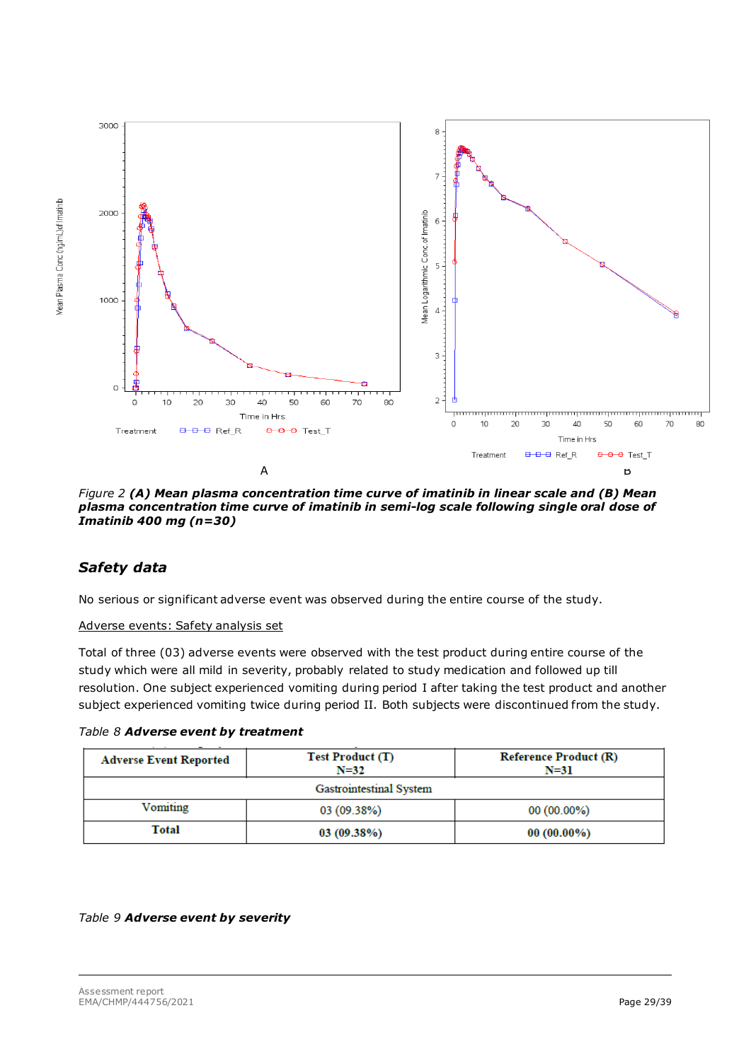

*Figure 2 (A) Mean plasma concentration time curve of imatinib in linear scale and (B) Mean plasma concentration time curve of imatinib in semi-log scale following single oral dose of Imatinib 400 mg (n=30)*

## *Safety data*

Mean Plasma Conc (ng/mL) of Imatinib

No serious or significant adverse event was observed during the entire course of the study.

#### Adverse events: Safety analysis set

Total of three (03) adverse events were observed with the test product during entire course of the study which were all mild in severity, probably related to study medication and followed up till resolution. One subject experienced vomiting during period I after taking the test product and another subject experienced vomiting twice during period II. Both subjects were discontinued from the study.

*Table 8 Adverse event by treatment*

| <b>Adverse Event Reported</b>            | <b>Test Product (T)</b><br>$N = 32$ | <b>Reference Product (R)</b><br>$N=31$ |  |  |  |
|------------------------------------------|-------------------------------------|----------------------------------------|--|--|--|
| Gastrointestinal System                  |                                     |                                        |  |  |  |
| Vomiting<br>03 (09.38%)<br>$00(00.00\%)$ |                                     |                                        |  |  |  |
| Total                                    | 03(09.38%)                          | $00(00.00\%)$                          |  |  |  |

#### *Table 9 Adverse event by severity*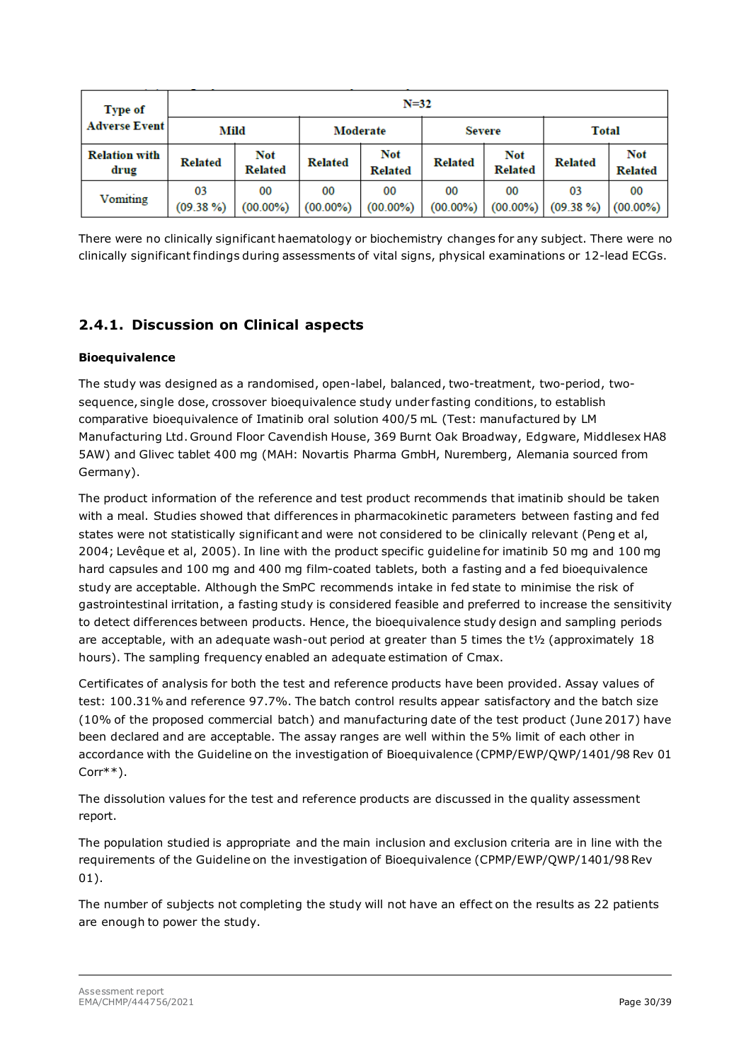| <b>Type of</b>               | $N = 32$                                          |                       |                   |                       |                   |                              |                   |                              |
|------------------------------|---------------------------------------------------|-----------------------|-------------------|-----------------------|-------------------|------------------------------|-------------------|------------------------------|
| <b>Adverse Event</b>         | Mild<br>Moderate<br><b>Total</b><br><b>Severe</b> |                       |                   |                       |                   |                              |                   |                              |
| <b>Relation with</b><br>drug | <b>Related</b>                                    | Not<br><b>Related</b> | <b>Related</b>    | Not<br><b>Related</b> | <b>Related</b>    | <b>Not</b><br><b>Related</b> | <b>Related</b>    | <b>Not</b><br><b>Related</b> |
| Vomiting                     | 03<br>$(09.38\%)$                                 | 00<br>$(00.00\%)$     | 00<br>$(00.00\%)$ | 00<br>$(00.00\%)$     | 00<br>$(00.00\%)$ | 00<br>$(00.00\%)$            | 03<br>$(09.38\%)$ | 00<br>$(00.00\%)$            |

There were no clinically significant haematology or biochemistry changes for any subject. There were no clinically significant findings during assessments of vital signs, physical examinations or 12-lead ECGs.

# <span id="page-29-0"></span>**2.4.1. Discussion on Clinical aspects**

### **Bioequivalence**

The study was designed as a randomised, open-label, balanced, two-treatment, two-period, twosequence, single dose, crossover bioequivalence study under fasting conditions, to establish comparative bioequivalence of Imatinib oral solution 400/5 mL (Test: manufactured by LM Manufacturing Ltd. Ground Floor Cavendish House, 369 Burnt Oak Broadway, Edgware, Middlesex HA8 5AW) and Glivec tablet 400 mg (MAH: Novartis Pharma GmbH, Nuremberg, Alemania sourced from Germany).

The product information of the reference and test product recommends that imatinib should be taken with a meal. Studies showed that differences in pharmacokinetic parameters between fasting and fed states were not statistically significant and were not considered to be clinically relevant (Peng et al, 2004; Levêque et al, 2005). In line with the product specific guideline for imatinib 50 mg and 100 mg hard capsules and 100 mg and 400 mg film-coated tablets, both a fasting and a fed bioequivalence study are acceptable. Although the SmPC recommends intake in fed state to minimise the risk of gastrointestinal irritation, a fasting study is considered feasible and preferred to increase the sensitivity to detect differences between products. Hence, the bioequivalence study design and sampling periods are acceptable, with an adequate wash-out period at greater than 5 times the  $t\frac{1}{2}$  (approximately 18 hours). The sampling frequency enabled an adequate estimation of Cmax.

Certificates of analysis for both the test and reference products have been provided. Assay values of test: 100.31% and reference 97.7%. The batch control results appear satisfactory and the batch size (10% of the proposed commercial batch) and manufacturing date of the test product (June 2017) have been declared and are acceptable. The assay ranges are well within the 5% limit of each other in accordance with the Guideline on the investigation of Bioequivalence (CPMP/EWP/QWP/1401/98 Rev 01 Corr\*\*).

The dissolution values for the test and reference products are discussed in the quality assessment report.

The population studied is appropriate and the main inclusion and exclusion criteria are in line with the requirements of the Guideline on the investigation of Bioequivalence (CPMP/EWP/QWP/1401/98 Rev 01).

The number of subjects not completing the study will not have an effect on the results as 22 patients are enough to power the study.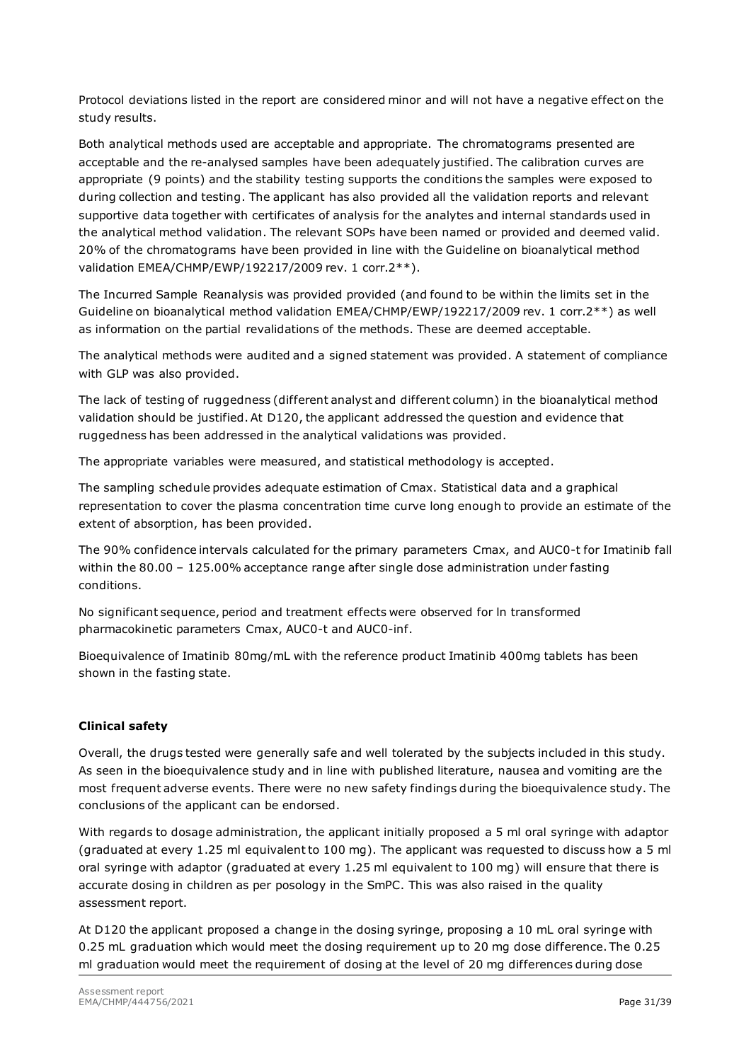Protocol deviations listed in the report are considered minor and will not have a negative effect on the study results.

Both analytical methods used are acceptable and appropriate. The chromatograms presented are acceptable and the re-analysed samples have been adequately justified. The calibration curves are appropriate (9 points) and the stability testing supports the conditions the samples were exposed to during collection and testing. The applicant has also provided all the validation reports and relevant supportive data together with certificates of analysis for the analytes and internal standards used in the analytical method validation. The relevant SOPs have been named or provided and deemed valid. 20% of the chromatograms have been provided in line with the Guideline on bioanalytical method validation EMEA/CHMP/EWP/192217/2009 rev. 1 corr.2\*\*).

The Incurred Sample Reanalysis was provided provided (and found to be within the limits set in the Guideline on bioanalytical method validation EMEA/CHMP/EWP/192217/2009 rev. 1 corr.2\*\*) as well as information on the partial revalidations of the methods. These are deemed acceptable.

The analytical methods were audited and a signed statement was provided. A statement of compliance with GLP was also provided.

The lack of testing of ruggedness (different analyst and different column) in the bioanalytical method validation should be justified. At D120, the applicant addressed the question and evidence that ruggedness has been addressed in the analytical validations was provided.

The appropriate variables were measured, and statistical methodology is accepted.

The sampling schedule provides adequate estimation of Cmax. Statistical data and a graphical representation to cover the plasma concentration time curve long enough to provide an estimate of the extent of absorption, has been provided.

The 90% confidence intervals calculated for the primary parameters Cmax, and AUC0-t for Imatinib fall within the 80.00 – 125.00% acceptance range after single dose administration under fasting conditions.

No significant sequence, period and treatment effects were observed for ln transformed pharmacokinetic parameters Cmax, AUC0-t and AUC0-inf.

Bioequivalence of Imatinib 80mg/mL with the reference product Imatinib 400mg tablets has been shown in the fasting state.

#### **Clinical safety**

Overall, the drugs tested were generally safe and well tolerated by the subjects included in this study. As seen in the bioequivalence study and in line with published literature, nausea and vomiting are the most frequent adverse events. There were no new safety findings during the bioequivalence study. The conclusions of the applicant can be endorsed.

With regards to dosage administration, the applicant initially proposed a 5 ml oral syringe with adaptor (graduated at every 1.25 ml equivalent to 100 mg). The applicant was requested to discuss how a 5 ml oral syringe with adaptor (graduated at every 1.25 ml equivalent to 100 mg) will ensure that there is accurate dosing in children as per posology in the SmPC. This was also raised in the quality assessment report.

At D120 the applicant proposed a change in the dosing syringe, proposing a 10 mL oral syringe with 0.25 mL graduation which would meet the dosing requirement up to 20 mg dose difference. The 0.25 ml graduation would meet the requirement of dosing at the level of 20 mg differences during dose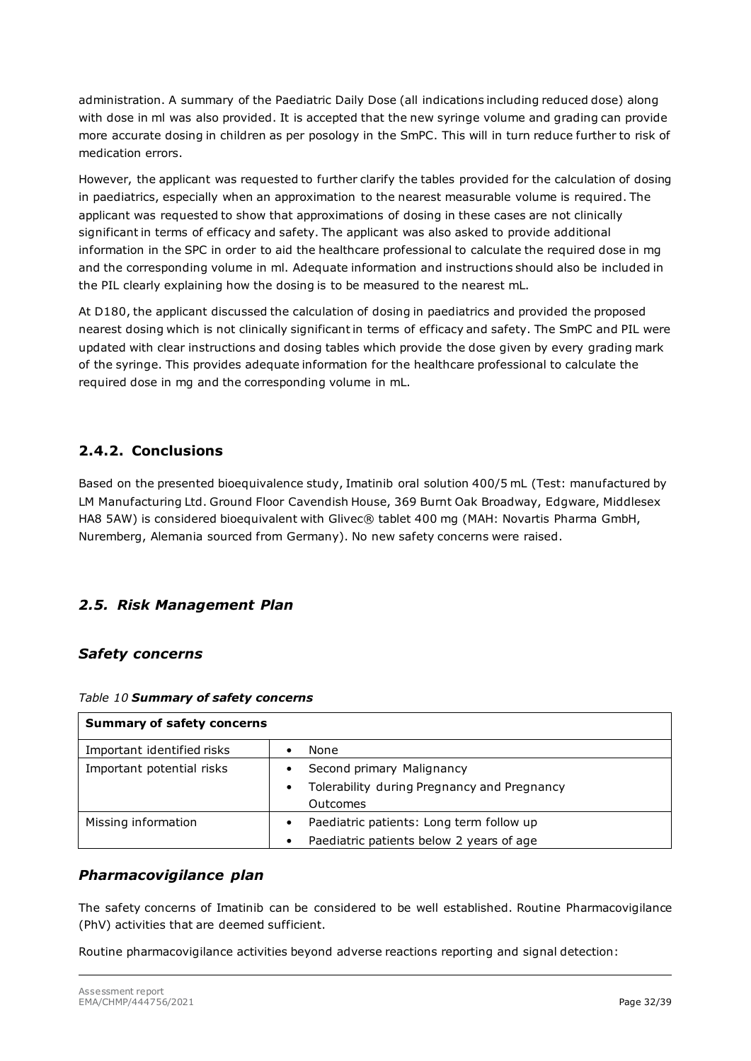administration. A summary of the Paediatric Daily Dose (all indications including reduced dose) along with dose in ml was also provided. It is accepted that the new syringe volume and grading can provide more accurate dosing in children as per posology in the SmPC. This will in turn reduce further to risk of medication errors.

However, the applicant was requested to further clarify the tables provided for the calculation of dosing in paediatrics, especially when an approximation to the nearest measurable volume is required. The applicant was requested to show that approximations of dosing in these cases are not clinically significant in terms of efficacy and safety. The applicant was also asked to provide additional information in the SPC in order to aid the healthcare professional to calculate the required dose in mg and the corresponding volume in ml. Adequate information and instructions should also be included in the PIL clearly explaining how the dosing is to be measured to the nearest mL.

At D180, the applicant discussed the calculation of dosing in paediatrics and provided the proposed nearest dosing which is not clinically significant in terms of efficacy and safety. The SmPC and PIL were updated with clear instructions and dosing tables which provide the dose given by every grading mark of the syringe. This provides adequate information for the healthcare professional to calculate the required dose in mg and the corresponding volume in mL.

# <span id="page-31-0"></span>**2.4.2. Conclusions**

Based on the presented bioequivalence study, Imatinib oral solution 400/5 mL (Test: manufactured by LM Manufacturing Ltd. Ground Floor Cavendish House, 369 Burnt Oak Broadway, Edgware, Middlesex HA8 5AW) is considered bioequivalent with Glivec® tablet 400 mg (MAH: Novartis Pharma GmbH, Nuremberg, Alemania sourced from Germany). No new safety concerns were raised.

# <span id="page-31-1"></span>*2.5. Risk Management Plan*

## *Safety concerns*

| <b>Summary of safety concerns</b> |                                                          |  |  |
|-----------------------------------|----------------------------------------------------------|--|--|
| Important identified risks        | None                                                     |  |  |
| Important potential risks         | Second primary Malignancy                                |  |  |
|                                   | Tolerability during Pregnancy and Pregnancy<br>$\bullet$ |  |  |
|                                   | Outcomes                                                 |  |  |
| Missing information               | Paediatric patients: Long term follow up<br>$\bullet$    |  |  |
|                                   | Paediatric patients below 2 years of age<br>$\bullet$    |  |  |

#### *Table 10 Summary of safety concerns*

#### *Pharmacovigilance plan*

The safety concerns of Imatinib can be considered to be well established. Routine Pharmacovigilance (PhV) activities that are deemed sufficient.

Routine pharmacovigilance activities beyond adverse reactions reporting and signal detection: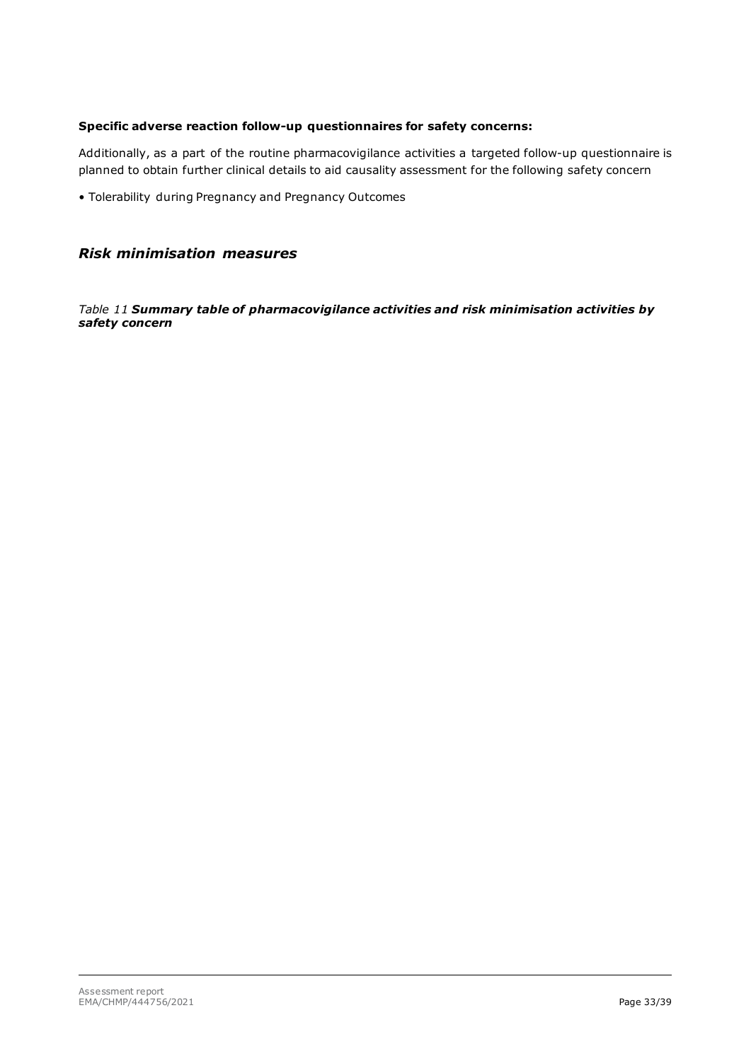#### **Specific adverse reaction follow-up questionnaires for safety concerns:**

Additionally, as a part of the routine pharmacovigilance activities a targeted follow-up questionnaire is planned to obtain further clinical details to aid causality assessment for the following safety concern

• Tolerability during Pregnancy and Pregnancy Outcomes

#### *Risk minimisation measures*

*Table 11 Summary table of pharmacovigilance activities and risk minimisation activities by safety concern*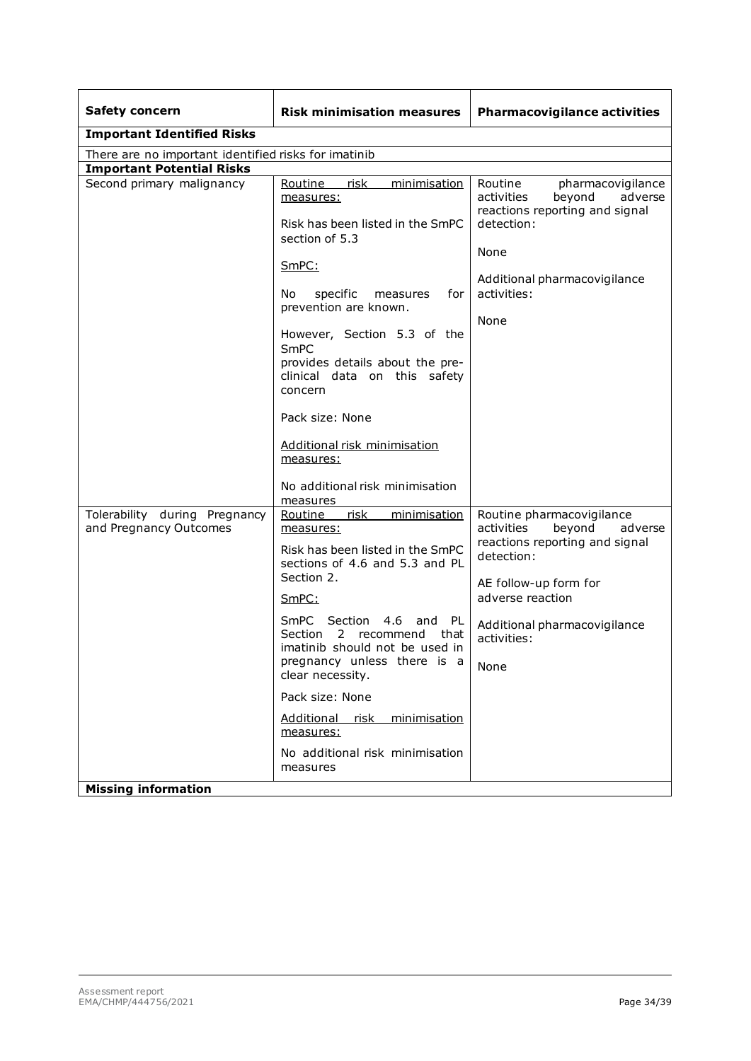| <b>Safety concern</b>                                                                 | <b>Risk minimisation measures</b>                                                                                                                                                                                                                                                                                                                                                                                                                                  | <b>Pharmacovigilance activities</b>                                                                                                                                                                              |  |  |  |  |  |
|---------------------------------------------------------------------------------------|--------------------------------------------------------------------------------------------------------------------------------------------------------------------------------------------------------------------------------------------------------------------------------------------------------------------------------------------------------------------------------------------------------------------------------------------------------------------|------------------------------------------------------------------------------------------------------------------------------------------------------------------------------------------------------------------|--|--|--|--|--|
| <b>Important Identified Risks</b>                                                     |                                                                                                                                                                                                                                                                                                                                                                                                                                                                    |                                                                                                                                                                                                                  |  |  |  |  |  |
| There are no important identified risks for imatinib                                  |                                                                                                                                                                                                                                                                                                                                                                                                                                                                    |                                                                                                                                                                                                                  |  |  |  |  |  |
| <b>Important Potential Risks</b>                                                      |                                                                                                                                                                                                                                                                                                                                                                                                                                                                    |                                                                                                                                                                                                                  |  |  |  |  |  |
| Second primary malignancy                                                             | Routine<br><u>risk</u><br>minimisation<br>measures:<br>Risk has been listed in the SmPC<br>section of 5.3<br>SmPC:<br>No.<br>specific<br>for<br>measures<br>prevention are known.<br>However, Section 5.3 of the<br>SmPC<br>provides details about the pre-<br>clinical data on this safety<br>concern<br>Pack size: None<br>Additional risk minimisation<br>measures:                                                                                             | Routine<br>pharmacovigilance<br>activities<br>beyond<br>adverse<br>reactions reporting and signal<br>detection:<br>None<br>Additional pharmacovigilance<br>activities:<br>None                                   |  |  |  |  |  |
|                                                                                       | No additional risk minimisation                                                                                                                                                                                                                                                                                                                                                                                                                                    |                                                                                                                                                                                                                  |  |  |  |  |  |
| Tolerability during Pregnancy<br>and Pregnancy Outcomes<br><b>Missing information</b> | measures<br>risk<br>Routine<br>minimisation<br>measures:<br>Risk has been listed in the SmPC<br>sections of 4.6 and 5.3 and PL<br>Section 2.<br>SmPC:<br>Section<br>4.6<br><b>SmPC</b><br>and<br>- PL<br><b>Section</b><br>2<br>recommend<br>that<br>imatinib should not be used in<br>pregnancy unless there is a<br>clear necessity.<br>Pack size: None<br><b>Additional</b><br>risk<br>minimisation<br>measures:<br>No additional risk minimisation<br>measures | Routine pharmacovigilance<br>beyond<br>activities<br>adverse<br>reactions reporting and signal<br>detection:<br>AE follow-up form for<br>adverse reaction<br>Additional pharmacovigilance<br>activities:<br>None |  |  |  |  |  |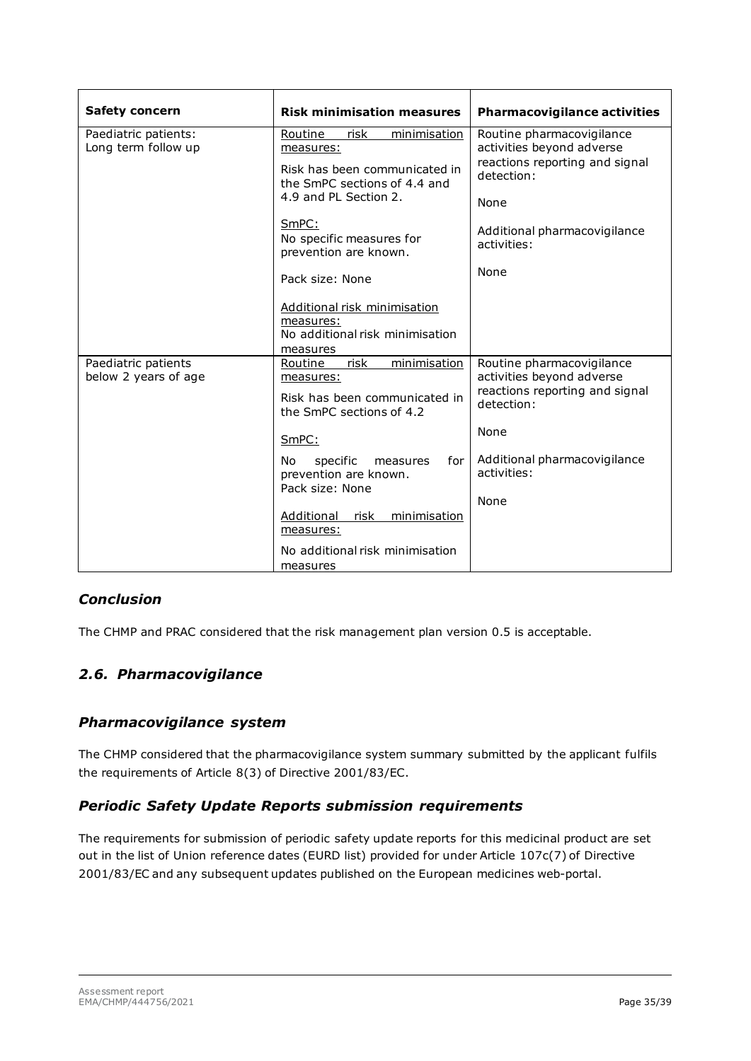| <b>Safety concern</b>                       | <b>Risk minimisation measures</b>                                                                                                                                                                                                                                                                                   | <b>Pharmacovigilance activities</b>                                                                                                                                   |
|---------------------------------------------|---------------------------------------------------------------------------------------------------------------------------------------------------------------------------------------------------------------------------------------------------------------------------------------------------------------------|-----------------------------------------------------------------------------------------------------------------------------------------------------------------------|
| Paediatric patients:<br>Long term follow up | risk<br>Routine<br>minimisation<br>measures:<br>Risk has been communicated in<br>the SmPC sections of 4.4 and<br>4.9 and PL Section 2.<br>SmPC:<br>No specific measures for<br>prevention are known.<br>Pack size: None<br>Additional risk minimisation<br>measures:<br>No additional risk minimisation<br>measures | Routine pharmacovigilance<br>activities beyond adverse<br>reactions reporting and signal<br>detection:<br>None<br>Additional pharmacovigilance<br>activities:<br>None |
| Paediatric patients<br>below 2 years of age | risk<br>minimisation<br>Routine<br>measures:<br>Risk has been communicated in<br>the SmPC sections of 4.2<br>SmPC:<br>for I<br>specific<br>No.<br>measures<br>prevention are known.<br>Pack size: None<br>Additional<br>risk minimisation<br>measures:<br>No additional risk minimisation<br>measures               | Routine pharmacovigilance<br>activities beyond adverse<br>reactions reporting and signal<br>detection:<br>None<br>Additional pharmacovigilance<br>activities:<br>None |

# *Conclusion*

The CHMP and PRAC considered that the risk management plan version 0.5 is acceptable.

# <span id="page-34-0"></span>*2.6. Pharmacovigilance*

## *Pharmacovigilance system*

The CHMP considered that the pharmacovigilance system summary submitted by the applicant fulfils the requirements of Article 8(3) of Directive 2001/83/EC.

## *Periodic Safety Update Reports submission requirements*

The requirements for submission of periodic safety update reports for this medicinal product are set out in the list of Union reference dates (EURD list) provided for under Article 107c(7) of Directive 2001/83/EC and any subsequent updates published on the European medicines web-portal.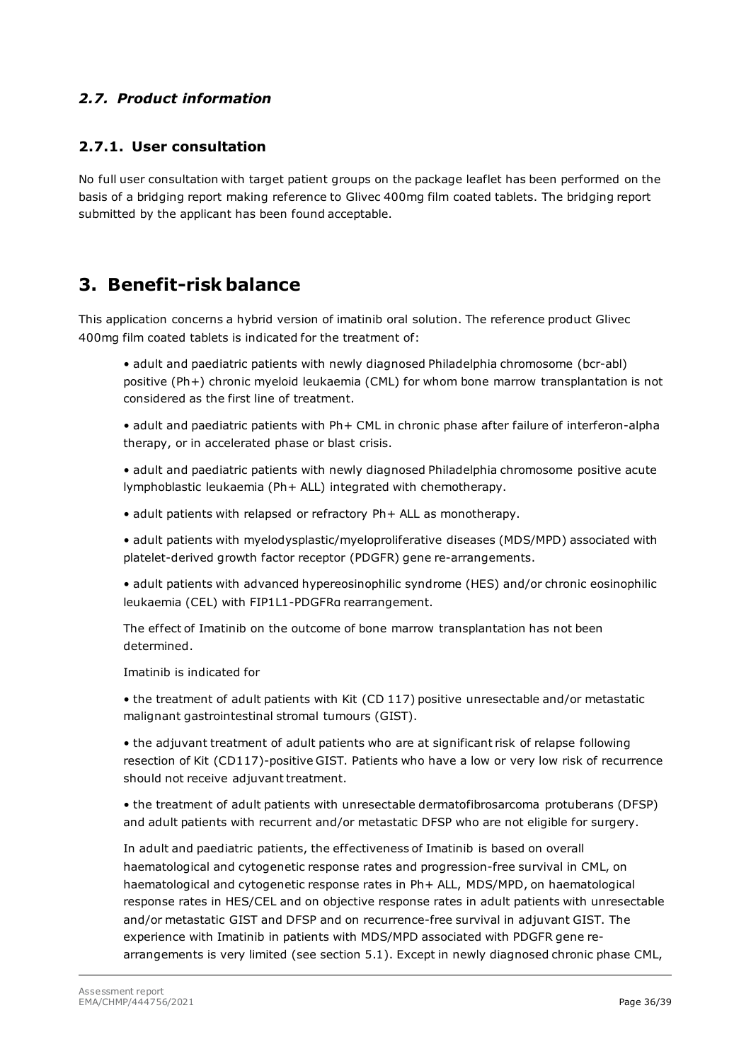## <span id="page-35-0"></span>*2.7. Product information*

## <span id="page-35-1"></span>**2.7.1. User consultation**

No full user consultation with target patient groups on the package leaflet has been performed on the basis of a bridging report making reference to Glivec 400mg film coated tablets. The bridging report submitted by the applicant has been found acceptable.

# <span id="page-35-2"></span>**3. Benefit-risk balance**

This application concerns a hybrid version of imatinib oral solution. The reference product Glivec 400mg film coated tablets is indicated for the treatment of:

• adult and paediatric patients with newly diagnosed Philadelphia chromosome (bcr-abl) positive (Ph+) chronic myeloid leukaemia (CML) for whom bone marrow transplantation is not considered as the first line of treatment.

• adult and paediatric patients with Ph+ CML in chronic phase after failure of interferon-alpha therapy, or in accelerated phase or blast crisis.

• adult and paediatric patients with newly diagnosed Philadelphia chromosome positive acute lymphoblastic leukaemia (Ph+ ALL) integrated with chemotherapy.

• adult patients with relapsed or refractory Ph+ ALL as monotherapy.

• adult patients with myelodysplastic/myeloproliferative diseases (MDS/MPD) associated with platelet-derived growth factor receptor (PDGFR) gene re-arrangements.

• adult patients with advanced hypereosinophilic syndrome (HES) and/or chronic eosinophilic leukaemia (CEL) with FIP1L1-PDGFRα rearrangement.

The effect of Imatinib on the outcome of bone marrow transplantation has not been determined.

Imatinib is indicated for

• the treatment of adult patients with Kit (CD 117) positive unresectable and/or metastatic malignant gastrointestinal stromal tumours (GIST).

• the adjuvant treatment of adult patients who are at significant risk of relapse following resection of Kit (CD117)-positive GIST. Patients who have a low or very low risk of recurrence should not receive adjuvant treatment.

• the treatment of adult patients with unresectable dermatofibrosarcoma protuberans (DFSP) and adult patients with recurrent and/or metastatic DFSP who are not eligible for surgery.

In adult and paediatric patients, the effectiveness of Imatinib is based on overall haematological and cytogenetic response rates and progression-free survival in CML, on haematological and cytogenetic response rates in Ph+ ALL, MDS/MPD, on haematological response rates in HES/CEL and on objective response rates in adult patients with unresectable and/or metastatic GIST and DFSP and on recurrence-free survival in adjuvant GIST. The experience with Imatinib in patients with MDS/MPD associated with PDGFR gene rearrangements is very limited (see section 5.1). Except in newly diagnosed chronic phase CML,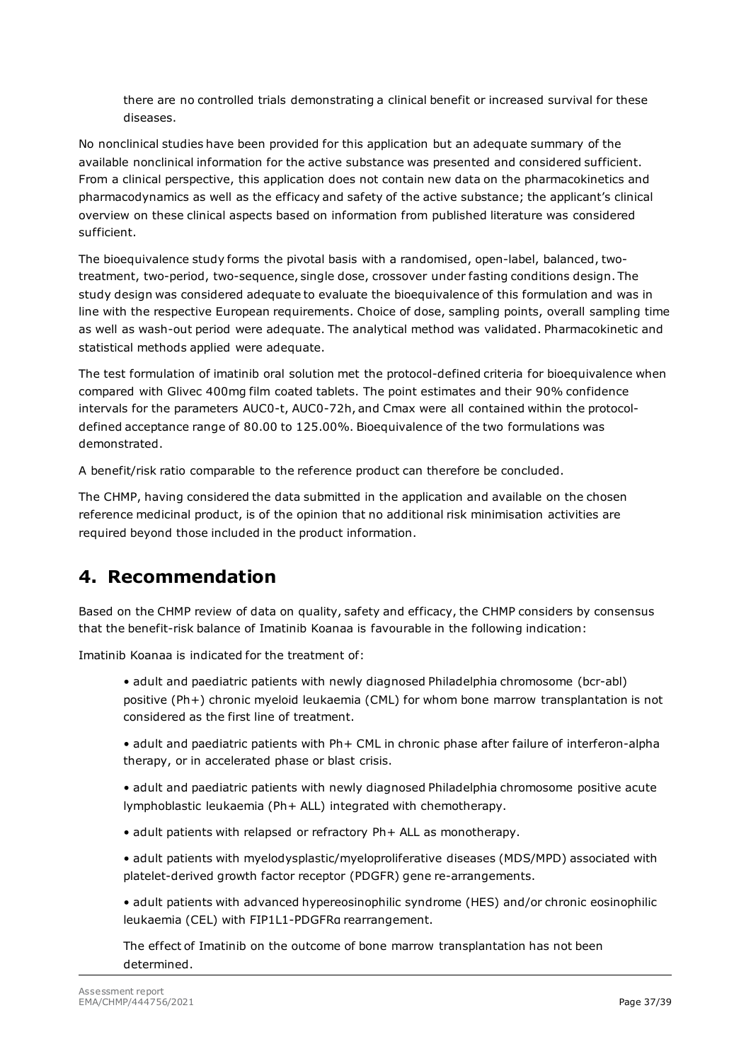there are no controlled trials demonstrating a clinical benefit or increased survival for these diseases.

No nonclinical studies have been provided for this application but an adequate summary of the available nonclinical information for the active substance was presented and considered sufficient. From a clinical perspective, this application does not contain new data on the pharmacokinetics and pharmacodynamics as well as the efficacy and safety of the active substance; the applicant's clinical overview on these clinical aspects based on information from published literature was considered sufficient.

The bioequivalence study forms the pivotal basis with a randomised, open-label, balanced, twotreatment, two-period, two-sequence, single dose, crossover under fasting conditions design. The study design was considered adequate to evaluate the bioequivalence of this formulation and was in line with the respective European requirements. Choice of dose, sampling points, overall sampling time as well as wash-out period were adequate. The analytical method was validated. Pharmacokinetic and statistical methods applied were adequate.

The test formulation of imatinib oral solution met the protocol-defined criteria for bioequivalence when compared with Glivec 400mg film coated tablets. The point estimates and their 90% confidence intervals for the parameters AUC0-t, AUC0-72h, and Cmax were all contained within the protocoldefined acceptance range of 80.00 to 125.00%. Bioequivalence of the two formulations was demonstrated.

A benefit/risk ratio comparable to the reference product can therefore be concluded.

The CHMP, having considered the data submitted in the application and available on the chosen reference medicinal product, is of the opinion that no additional risk minimisation activities are required beyond those included in the product information.

# <span id="page-36-0"></span>**4. Recommendation**

Based on the CHMP review of data on quality, safety and efficacy, the CHMP considers by consensus that the benefit-risk balance of Imatinib Koanaa is favourable in the following indication:

Imatinib Koanaa is indicated for the treatment of:

• adult and paediatric patients with newly diagnosed Philadelphia chromosome (bcr-abl) positive (Ph+) chronic myeloid leukaemia (CML) for whom bone marrow transplantation is not considered as the first line of treatment.

• adult and paediatric patients with Ph+ CML in chronic phase after failure of interferon-alpha therapy, or in accelerated phase or blast crisis.

• adult and paediatric patients with newly diagnosed Philadelphia chromosome positive acute lymphoblastic leukaemia (Ph+ ALL) integrated with chemotherapy.

- adult patients with relapsed or refractory Ph+ ALL as monotherapy.
- adult patients with myelodysplastic/myeloproliferative diseases (MDS/MPD) associated with platelet-derived growth factor receptor (PDGFR) gene re-arrangements.

• adult patients with advanced hypereosinophilic syndrome (HES) and/or chronic eosinophilic leukaemia (CEL) with FIP1L1-PDGFRα rearrangement.

The effect of Imatinib on the outcome of bone marrow transplantation has not been determined.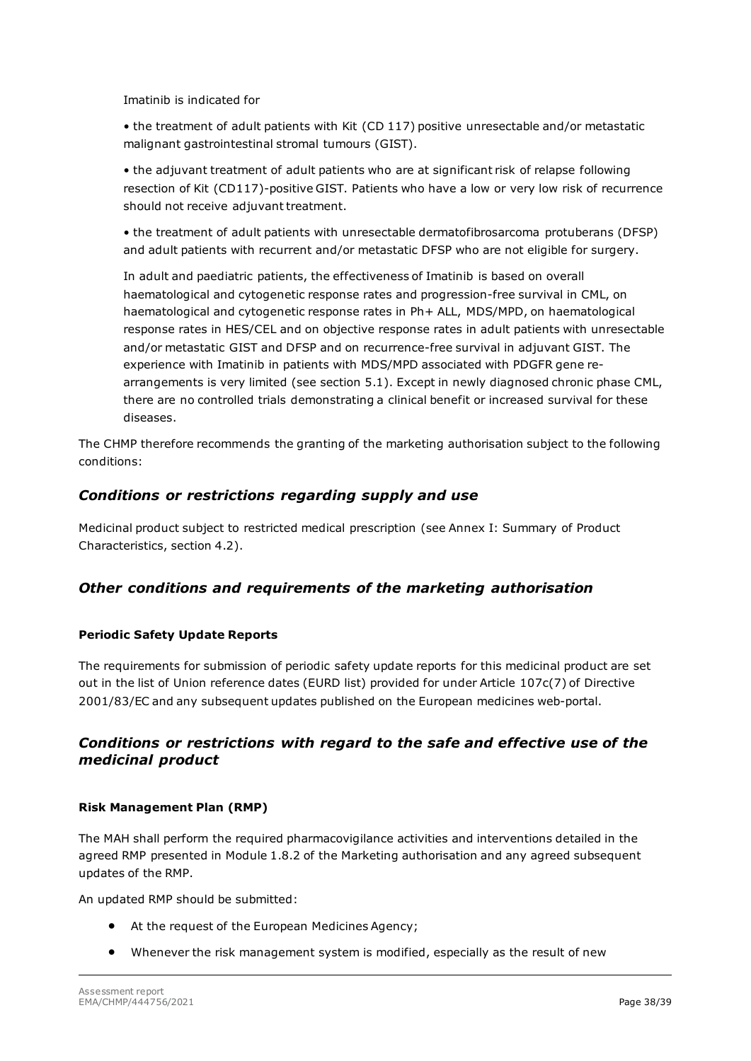Imatinib is indicated for

• the treatment of adult patients with Kit (CD 117) positive unresectable and/or metastatic malignant gastrointestinal stromal tumours (GIST).

• the adjuvant treatment of adult patients who are at significant risk of relapse following resection of Kit (CD117)-positive GIST. Patients who have a low or very low risk of recurrence should not receive adjuvant treatment.

• the treatment of adult patients with unresectable dermatofibrosarcoma protuberans (DFSP) and adult patients with recurrent and/or metastatic DFSP who are not eligible for surgery.

In adult and paediatric patients, the effectiveness of Imatinib is based on overall haematological and cytogenetic response rates and progression-free survival in CML, on haematological and cytogenetic response rates in Ph+ ALL, MDS/MPD, on haematological response rates in HES/CEL and on objective response rates in adult patients with unresectable and/or metastatic GIST and DFSP and on recurrence-free survival in adjuvant GIST. The experience with Imatinib in patients with MDS/MPD associated with PDGFR gene rearrangements is very limited (see section 5.1). Except in newly diagnosed chronic phase CML, there are no controlled trials demonstrating a clinical benefit or increased survival for these diseases.

The CHMP therefore recommends the granting of the marketing authorisation subject to the following conditions:

### *Conditions or restrictions regarding supply and use*

Medicinal product subject to restricted medical prescription (see Annex I: Summary of Product Characteristics, section 4.2).

## *Other conditions and requirements of the marketing authorisation*

#### **Periodic Safety Update Reports**

The requirements for submission of periodic safety update reports for this medicinal product are set out in the list of Union reference dates (EURD list) provided for under Article 107c(7) of Directive 2001/83/EC and any subsequent updates published on the European medicines web-portal.

## *Conditions or restrictions with regard to the safe and effective use of the medicinal product*

#### **Risk Management Plan (RMP)**

The MAH shall perform the required pharmacovigilance activities and interventions detailed in the agreed RMP presented in Module 1.8.2 of the Marketing authorisation and any agreed subsequent updates of the RMP.

An updated RMP should be submitted:

- At the request of the European Medicines Agency;
- Whenever the risk management system is modified, especially as the result of new